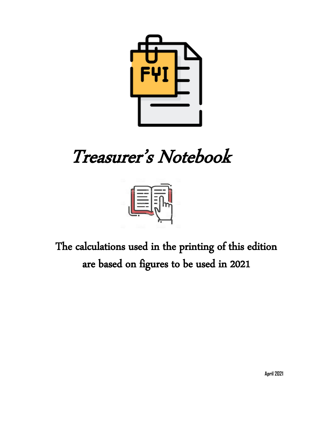

# Treasurer's Notebook



The calculations used in the printing of this edition are based on figures to be used in 2021

**April 2021**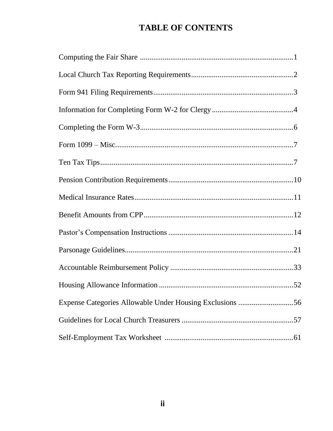# **TABLE OF CONTENTS**

| Expense Categories Allowable Under Housing Exclusions 56 |
|----------------------------------------------------------|
|                                                          |
|                                                          |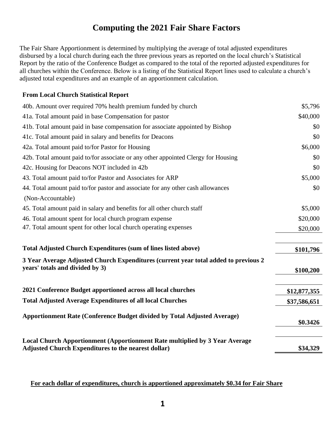# **Computing the 2021 Fair Share Factors**

The Fair Share Apportionment is determined by multiplying the average of total adjusted expenditures disbursed by a local church during each the three previous years as reported on the local church's Statistical Report by the ratio of the Conference Budget as compared to the total of the reported adjusted expenditures for all churches within the Conference. Below is a listing of the Statistical Report lines used to calculate a church's adjusted total expenditures and an example of an apportionment calculation.

### **From Local Church Statistical Report**

| 40b. Amount over required 70% health premium funded by church                                                                             | \$5,796      |
|-------------------------------------------------------------------------------------------------------------------------------------------|--------------|
| 41a. Total amount paid in base Compensation for pastor                                                                                    | \$40,000     |
| 41b. Total amount paid in base compensation for associate appointed by Bishop                                                             | \$0          |
| 41c. Total amount paid in salary and benefits for Deacons                                                                                 | \$0          |
| 42a. Total amount paid to/for Pastor for Housing                                                                                          | \$6,000      |
| 42b. Total amount paid to/for associate or any other appointed Clergy for Housing                                                         | \$0          |
| 42c. Housing for Deacons NOT included in 42b                                                                                              | \$0          |
| 43. Total amount paid to/for Pastor and Associates for ARP                                                                                | \$5,000      |
| 44. Total amount paid to/for pastor and associate for any other cash allowances                                                           | \$0          |
| (Non-Accountable)                                                                                                                         |              |
| 45. Total amount paid in salary and benefits for all other church staff                                                                   | \$5,000      |
| 46. Total amount spent for local church program expense                                                                                   | \$20,000     |
| 47. Total amount spent for other local church operating expenses                                                                          | \$20,000     |
| <b>Total Adjusted Church Expenditures (sum of lines listed above)</b>                                                                     | \$101,796    |
| 3 Year Average Adjusted Church Expenditures (current year total added to previous 2<br>years' totals and divided by 3)                    | \$100,200    |
| 2021 Conference Budget apportioned across all local churches                                                                              | \$12,877,355 |
| <b>Total Adjusted Average Expenditures of all local Churches</b>                                                                          | \$37,586,651 |
| Apportionment Rate (Conference Budget divided by Total Adjusted Average)                                                                  | \$0.3426     |
| Local Church Apportionment (Apportionment Rate multiplied by 3 Year Average<br><b>Adjusted Church Expenditures to the nearest dollar)</b> | \$34,329     |

## **For each dollar of expenditures, church is apportioned approximately \$0.34 for Fair Share**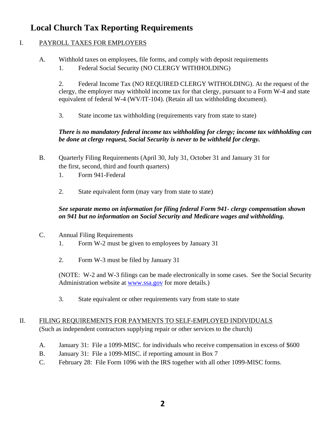# **Local Church Tax Reporting Requirements**

# I. PAYROLL TAXES FOR EMPLOYERS

- A. Withhold taxes on employees, file forms, and comply with deposit requirements
	- 1. Federal Social Security (NO CLERGY WITHHOLDING)

2. Federal Income Tax (NO REQUIRED CLERGY WITHOLDING). At the request of the clergy, the employer may withhold income tax for that clergy, pursuant to a Form W-4 and state equivalent of federal W-4 (WV/IT-104). (Retain all tax withholding document).

3. State income tax withholding (requirements vary from state to state)

# *There is no mandatory federal income tax withholding for clergy; income tax withholding can be done at clergy request, Social Security is never to be withheld for clergy.*

- B. Quarterly Filing Requirements (April 30, July 31, October 31 and January 31 for the first, second, third and fourth quarters)
	- 1. Form 941-Federal
	- 2. State equivalent form (may vary from state to state)

# *See separate memo on information for filing federal Form 941- clergy compensation shown on 941 but no information on Social Security and Medicare wages and withholding.*

- C. Annual Filing Requirements
	- 1. Form W-2 must be given to employees by January 31
	- 2. Form W-3 must be filed by January 31

(NOTE: W-2 and W-3 filings can be made electronically in some cases. See the Social Security Administration website at [www.ssa.gov](http://www.ssa.gov/) for more details.)

3. State equivalent or other requirements vary from state to state

# II. FILING REQUIREMENTS FOR PAYMENTS TO SELF-EMPLOYED INDIVIDUALS

(Such as independent contractors supplying repair or other services to the church)

- A. January 31: File a 1099-MISC. for individuals who receive compensation in excess of \$600
- B. January 31: File a 1099-MISC. if reporting amount in Box 7
- C. February 28: File Form 1096 with the IRS together with all other 1099-MISC forms.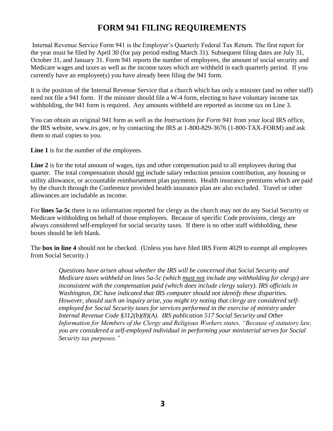# **FORM 941 FILING REQUIREMENTS**

Internal Revenue Service Form 941 is the Employer's Quarterly Federal Tax Return. The first report for the year must be filed by April 30 (for pay period ending March 31). Subsequent filing dates are July 31, October 31, and January 31. Form 941 reports the number of employees, the amount of social security and Medicare wages and taxes as well as the income taxes which are withheld in each quarterly period. If you currently have an employee(s) you have already been filing the 941 form.

It is the position of the Internal Revenue Service that a church which has only a minister (and no other staff) need not file a 941 form. If the minister should file a W-4 form, electing to have voluntary income tax withholding, the 941 form is required. Any amounts withheld are reported as income tax on Line 3.

You can obtain an original 941 form as well as the *Instructions for Form 941* from your local IRS office, the IRS website, www.irs.gov, or by contacting the IRS at 1-800-829-3676 (1-800-TAX-FORM) and ask them to mail copies to you.

Line 1 is for the number of the employees.

Line 2 is for the total amount of wages, tips and other compensation paid to all employees during that quarter. The total compensation should not include salary reduction pension contribution, any housing or utility allowance, or accountable reimbursement plan payments. Health insurance premiums which are paid by the church through the Conference provided health insurance plan are also excluded. Travel or other allowances are includable as income.

For **lines 5a-5c** there is no information reported for clergy as the church may not do any Social Security or Medicare withholding on behalf of those employees. Because of specific Code provisions, clergy are always considered self-employed for social security taxes. If there is no other staff withholding, these boxes should be left blank.

The **box in line 4** should not be checked. (Unless you have filed IRS Form 4029 to exempt all employees from Social Security.)

> *Questions have arisen about whether the IRS will be concerned that Social Security and Medicare taxes withheld on lines 5a-5c (which must not include any withholding for clergy) are inconsistent with the compensation paid (which does include clergy salary). IRS officials in Washington, DC have indicated that IRS computer should not identify these disparities. However, should such an inquiry arise, you might try noting that clergy are considered selfemployed for Social Security taxes for services performed in the exercise of ministry under Internal Revenue Code §312(b)(8)(A). IRS publication 517 Social Security and Other Information for Members of the Clergy and Religious Workers states, "Because of statutory law, you are considered a self-employed individual in performing your ministerial serves for Social Security tax purposes."*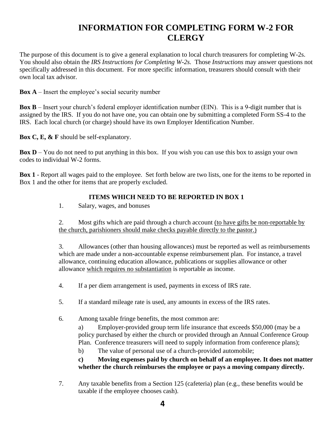# **INFORMATION FOR COMPLETING FORM W-2 FOR CLERGY**

The purpose of this document is to give a general explanation to local church treasurers for completing W-2s. You should also obtain the *IRS Instructions for Completing W-2s.* Those *Instructions* may answer questions not specifically addressed in this document. For more specific information, treasurers should consult with their own local tax advisor.

**Box A** – Insert the employee's social security number

**Box B** – Insert your church's federal employer identification number (EIN). This is a 9-digit number that is assigned by the IRS. If you do not have one, you can obtain one by submitting a completed Form SS-4 to the IRS. Each local church (or charge) should have its own Employer Identification Number.

**Box C, E, & F** should be self-explanatory.

**Box D** – You do not need to put anything in this box. If you wish you can use this box to assign your own codes to individual W-2 forms.

**Box 1** - Report all wages paid to the employee. Set forth below are two lists, one for the items to be reported in Box 1 and the other for items that are properly excluded.

### **ITEMS WHICH NEED TO BE REPORTED IN BOX 1**

1. Salary, wages, and bonuses

2. Most gifts which are paid through a church account (to have gifts be non-reportable by the church, parishioners should make checks payable directly to the pastor.)

3. Allowances (other than housing allowances) must be reported as well as reimbursements which are made under a non-accountable expense reimbursement plan. For instance, a travel allowance, continuing education allowance, publications or supplies allowance or other allowance which requires no substantiation is reportable as income.

4. If a per diem arrangement is used, payments in excess of IRS rate.

- 5. If a standard mileage rate is used, any amounts in excess of the IRS rates.
- 6. Among taxable fringe benefits, the most common are:

a) Employer-provided group term life insurance that exceeds \$50,000 (may be a policy purchased by either the church or provided through an Annual Conference Group Plan. Conference treasurers will need to supply information from conference plans);

b) The value of personal use of a church-provided automobile;

### **c) Moving expenses paid by church on behalf of an employee. It does not matter whether the church reimburses the employee or pays a moving company directly.**

7. Any taxable benefits from a Section 125 (cafeteria) plan (e.g., these benefits would be taxable if the employee chooses cash).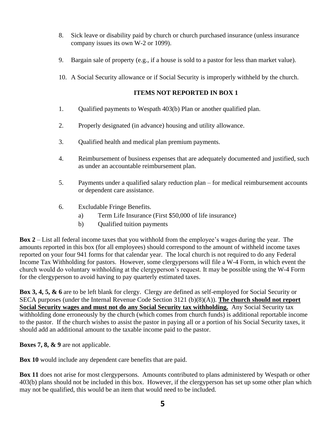- 8. Sick leave or disability paid by church or church purchased insurance (unless insurance company issues its own W-2 or 1099).
- 9. Bargain sale of property (e.g., if a house is sold to a pastor for less than market value).
- 10. A Social Security allowance or if Social Security is improperly withheld by the church.

# **ITEMS NOT REPORTED IN BOX 1**

- 1. Qualified payments to Wespath 403(b) Plan or another qualified plan.
- 2. Properly designated (in advance) housing and utility allowance.
- 3. Qualified health and medical plan premium payments.
- 4. Reimbursement of business expenses that are adequately documented and justified, such as under an accountable reimbursement plan.
- 5. Payments under a qualified salary reduction plan for medical reimbursement accounts or dependent care assistance.
- 6. Excludable Fringe Benefits.
	- a) Term Life Insurance (First \$50,000 of life insurance)
	- b) Qualified tuition payments

**Box 2** – List all federal income taxes that you withhold from the employee's wages during the year. The amounts reported in this box (for all employees) should correspond to the amount of withheld income taxes reported on your four 941 forms for that calendar year. The local church is not required to do any Federal Income Tax Withholding for pastors. However, some clergypersons will file a W-4 Form, in which event the church would do voluntary withholding at the clergyperson's request. It may be possible using the W-4 Form for the clergyperson to avoid having to pay quarterly estimated taxes.

**Box 3, 4, 5, & 6** are to be left blank for clergy. Clergy are defined as self-employed for Social Security or SECA purposes (under the Internal Revenue Code Section 3121 (b)(8)(A)). **The church should not report Social Security wages and must not do any Social Security tax withholding.** Any Social Security tax withholding done erroneously by the church (which comes from church funds) is additional reportable income to the pastor. If the church wishes to assist the pastor in paying all or a portion of his Social Security taxes, it should add an additional amount to the taxable income paid to the pastor.

**Boxes 7, 8, & 9** are not applicable.

**Box 10** would include any dependent care benefits that are paid.

**Box 11** does not arise for most clergypersons. Amounts contributed to plans administered by Wespath or other 403(b) plans should not be included in this box. However, if the clergyperson has set up some other plan which may not be qualified, this would be an item that would need to be included.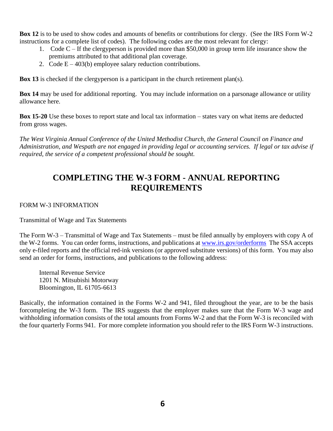**Box 12** is to be used to show codes and amounts of benefits or contributions for clergy. (See the IRS Form W-2 instructions for a complete list of codes). The following codes are the most relevant for clergy:

- 1. Code  $C$  If the clergyperson is provided more than \$50,000 in group term life insurance show the premiums attributed to that additional plan coverage.
- 2. Code  $E 403(b)$  employee salary reduction contributions.

**Box 13** is checked if the clergyperson is a participant in the church retirement plan(s).

**Box 14** may be used for additional reporting. You may include information on a parsonage allowance or utility allowance here.

**Box 15-20** Use these boxes to report state and local tax information – states vary on what items are deducted from gross wages.

*The West Virginia Annual Conference of the United Methodist Church, the General Council on Finance and Administration, and Wespath are not engaged in providing legal or accounting services. If legal or tax advise if required, the service of a competent professional should be sought.*

# **COMPLETING THE W-3 FORM - ANNUAL REPORTING REQUIREMENTS**

FORM W-3 INFORMATION

Transmittal of Wage and Tax Statements

The Form W-3 – Transmittal of Wage and Tax Statements – must be filed annually by employers with copy A of the W-2 forms. You can order forms, instructions, and publications at [www.irs.gov/orderforms](http://www.irs.gov/orderforms) The SSA accepts only e-filed reports and the official red-ink versions (or approved substitute versions) of this form. You may also send an order for forms, instructions, and publications to the following address:

Internal Revenue Service 1201 N. Mitsubishi Motorway Bloomington, IL 61705-6613

Basically, the information contained in the Forms W-2 and 941, filed throughout the year, are to be the basis forcompleting the W-3 form. The IRS suggests that the employer makes sure that the Form W-3 wage and withholding information consists of the total amounts from Forms W-2 and that the Form W-3 is reconciled with the four quarterly Forms 941. For more complete information you should refer to the IRS Form W-3 instructions.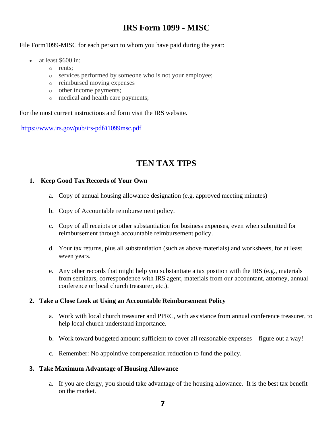# **IRS Form 1099 - MISC**

### File Form1099-MISC for each person to whom you have paid during the year:

- at least \$600 in:
	- o rents;
	- o services performed by someone who is not your employee;
	- o reimbursed moving expenses
	- o other income payments;
	- o medical and health care payments;

For the most current instructions and form visit the IRS website.

<https://www.irs.gov/pub/irs-pdf/i1099msc.pdf>

# **TEN TAX TIPS**

### **1. Keep Good Tax Records of Your Own**

- a. Copy of annual housing allowance designation (e.g. approved meeting minutes)
- b. Copy of Accountable reimbursement policy.
- c. Copy of all receipts or other substantiation for business expenses, even when submitted for reimbursement through accountable reimbursement policy.
- d. Your tax returns, plus all substantiation (such as above materials) and worksheets, for at least seven years.
- e. Any other records that might help you substantiate a tax position with the IRS (e.g., materials from seminars, correspondence with IRS agent, materials from our accountant, attorney, annual conference or local church treasurer, etc.).

#### **2. Take a Close Look at Using an Accountable Reimbursement Policy**

- a. Work with local church treasurer and PPRC, with assistance from annual conference treasurer, to help local church understand importance.
- b. Work toward budgeted amount sufficient to cover all reasonable expenses figure out a way!
- c. Remember: No appointive compensation reduction to fund the policy.

#### **3. Take Maximum Advantage of Housing Allowance**

a. If you are clergy, you should take advantage of the housing allowance. It is the best tax benefit on the market.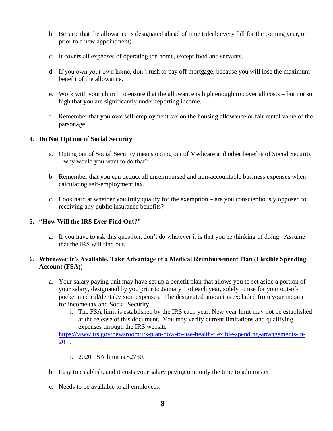- b. Be sure that the allowance is designated ahead of time (ideal: every fall for the coming year, or prior to a new appointment).
- c. It covers all expenses of operating the home, except food and servants.
- d. If you own your own home, don't rush to pay off mortgage, because you will lose the maximum benefit of the allowance.
- e. Work with your church to ensure that the allowance is high enough to cover all costs but not so high that you are significantly under reporting income.
- f. Remember that you owe self-employment tax on the housing allowance or fair rental value of the parsonage.

### **4. Do Not Opt out of Social Security**

- a. Opting out of Social Security means opting out of Medicare and other benefits of Social Security – why would you want to do that?
- b. Remember that you can deduct all unreimbursed and non-accountable business expenses when calculating self-employment tax.
- c. Look hard at whether you truly qualify for the exemption are you conscientiously opposed to receiving any public insurance benefits?

# **5. "How Will the IRS Ever Find Out?"**

a. If you have to ask this question, don't do whatever it is that you're thinking of doing. Assume that the IRS will find out.

# **6. Whenever It's Available, Take Advantage of a Medical Reimbursement Plan (Flexible Spending Account (FSA))**

- a. Your salary paying unit may have set up a benefit plan that allows you to set aside a portion of your salary, designated by you prior to January 1 of each year, solely to use for your out-ofpocket medical/dental/vision expenses. The designated amount is excluded from your income for income tax and Social Security.
	- i. The FSA limit is established by the IRS each year. New year limit may not be established at the release of this document. You may verify current limitations and qualifying expenses through the IRS website

[https://www.irs.gov/newsroom/irs-plan-now-to-use-health-flexible-spending-arrangements-in-](https://www.irs.gov/newsroom/irs-plan-now-to-use-health-flexible-spending-arrangements-in-2019)[2019](https://www.irs.gov/newsroom/irs-plan-now-to-use-health-flexible-spending-arrangements-in-2019)

- ii. 2020 FSA limit is \$2750.
- b. Easy to establish, and it costs your salary paying unit only the time to administer.
- c. Needs to be available to all employees.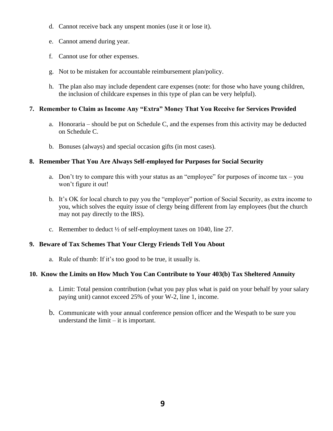- d. Cannot receive back any unspent monies (use it or lose it).
- e. Cannot amend during year.
- f. Cannot use for other expenses.
- g. Not to be mistaken for accountable reimbursement plan/policy.
- h. The plan also may include dependent care expenses (note: for those who have young children, the inclusion of childcare expenses in this type of plan can be very helpful).

### **7. Remember to Claim as Income Any "Extra" Money That You Receive for Services Provided**

- a. Honoraria should be put on Schedule C, and the expenses from this activity may be deducted on Schedule C.
- b. Bonuses (always) and special occasion gifts (in most cases).

### **8. Remember That You Are Always Self-employed for Purposes for Social Security**

- a. Don't try to compare this with your status as an "employee" for purposes of income tax you won't figure it out!
- b. It's OK for local church to pay you the "employer" portion of Social Security, as extra income to you, which solves the equity issue of clergy being different from lay employees (but the church may not pay directly to the IRS).
- c. Remember to deduct ½ of self-employment taxes on 1040, line 27.

#### **9. Beware of Tax Schemes That Your Clergy Friends Tell You About**

a. Rule of thumb: If it's too good to be true, it usually is.

### **10. Know the Limits on How Much You Can Contribute to Your 403(b) Tax Sheltered Annuity**

- a. Limit: Total pension contribution (what you pay plus what is paid on your behalf by your salary paying unit) cannot exceed 25% of your W-2, line 1, income.
- b. Communicate with your annual conference pension officer and the Wespath to be sure you understand the limit – it is important.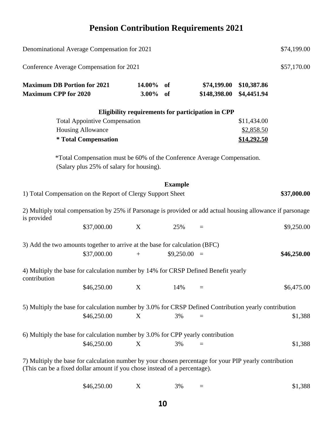# **Pension Contribution Requirements 2021**

| Denominational Average Compensation for 2021                                                                                                                                        |                           |                |                                                   | \$74,199.00                |
|-------------------------------------------------------------------------------------------------------------------------------------------------------------------------------------|---------------------------|----------------|---------------------------------------------------|----------------------------|
| Conference Average Compensation for 2021<br>\$57,170.00                                                                                                                             |                           |                |                                                   |                            |
| <b>Maximum DB Portion for 2021</b><br><b>Maximum CPP for 2020</b>                                                                                                                   | 14.00% of<br>$3.00\%$ of  |                | \$74,199.00<br>\$148,398.00                       | \$10,387.86<br>\$4,4451.94 |
|                                                                                                                                                                                     |                           |                | Eligibility requirements for participation in CPP |                            |
| <b>Total Appointive Compensation</b>                                                                                                                                                |                           |                |                                                   | \$11,434.00                |
| Housing Allowance                                                                                                                                                                   |                           |                |                                                   | \$2,858.50                 |
| <i>*</i> Total Compensation                                                                                                                                                         |                           |                |                                                   | \$14,292.50                |
| *Total Compensation must be 60% of the Conference Average Compensation.<br>(Salary plus 25% of salary for housing).                                                                 |                           |                |                                                   |                            |
|                                                                                                                                                                                     |                           | <b>Example</b> |                                                   |                            |
| 1) Total Compensation on the Report of Clergy Support Sheet                                                                                                                         |                           |                |                                                   | \$37,000.00                |
| 2) Multiply total compensation by 25% if Parsonage is provided or add actual housing allowance if parsonage<br>is provided                                                          |                           |                |                                                   |                            |
| \$37,000.00                                                                                                                                                                         | $\boldsymbol{\mathrm{X}}$ | 25%            | $\equiv$                                          | \$9,250.00                 |
| 3) Add the two amounts together to arrive at the base for calculation (BFC)                                                                                                         |                           |                |                                                   |                            |
| \$37,000.00                                                                                                                                                                         | $+$                       | $$9,250.00 =$  |                                                   | \$46,250.00                |
| 4) Multiply the base for calculation number by 14% for CRSP Defined Benefit yearly<br>contribution                                                                                  |                           |                |                                                   |                            |
| $$46,250.00$ X                                                                                                                                                                      |                           | 14%            |                                                   | \$6,475.00                 |
| 5) Multiply the base for calculation number by 3.0% for CRSP Defined Contribution yearly contribution                                                                               |                           |                |                                                   |                            |
| \$46,250.00                                                                                                                                                                         | X                         | 3%             | $=$                                               | \$1,388                    |
| 6) Multiply the base for calculation number by 3.0% for CPP yearly contribution                                                                                                     |                           |                |                                                   |                            |
| \$46,250.00                                                                                                                                                                         | X                         | 3%             | $\equiv$                                          | \$1,388                    |
| 7) Multiply the base for calculation number by your chosen percentage for your PIP yearly contribution<br>(This can be a fixed dollar amount if you chose instead of a percentage). |                           |                |                                                   |                            |

**10**

 $$46,250.00$  X  $3\%$  = \$1,388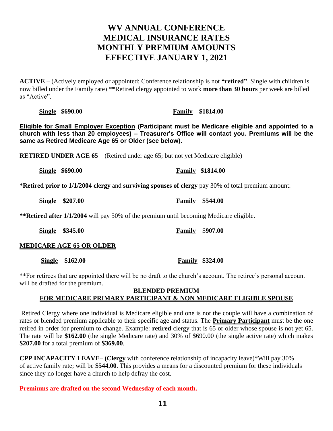# **WV ANNUAL CONFERENCE MEDICAL INSURANCE RATES MONTHLY PREMIUM AMOUNTS EFFECTIVE JANUARY 1, 2021**

**ACTIVE** – (Actively employed or appointed; Conference relationship is not **"retired"**. Single with children is now billed under the Family rate) \*\*Retired clergy appointed to work **more than 30 hours** per week are billed as "Active".

**Single \$690.00 Family \$1814.00**

**Eligible for Small Employer Exception (Participant must be Medicare eligible and appointed to a church with less than 20 employees) – Treasurer's Office will contact you. Premiums will be the same as Retired Medicare Age 65 or Older (see below).**

**RETIRED UNDER AGE 65** – (Retired under age 65; but not yet Medicare eligible)

**Single \$690.00 Family \$1814.00**

**\*Retired prior to 1/1/2004 clergy** and **surviving spouses of clergy** pay 30% of total premium amount:

**Single \$207.00 Family \$544.00**

**\*\*Retired after 1/1/2004** will pay 50% of the premium until becoming Medicare eligible.

**Single \$345.00 Family** \$**907.00**

### **MEDICARE AGE 65 OR OLDER**

**Single \$162.00 Family \$324.00**

\*\*For retirees that are appointed there will be no draft to the church's account. The retiree's personal account will be drafted for the premium.

### **BLENDED PREMIUM FOR MEDICARE PRIMARY PARTICIPANT & NON MEDICARE ELIGIBLE SPOUSE**

Retired Clergy where one individual is Medicare eligible and one is not the couple will have a combination of rates or blended premium applicable to their specific age and status. The **Primary Participant** must be the one retired in order for premium to change. Example: **retired** clergy that is 65 or older whose spouse is not yet 65. The rate will be **\$162.00** (the single Medicare rate) and 30% of \$690.00 (the single active rate) which makes **\$207.00** for a total premium of **\$369.00**.

**CPP INCAPACITY LEAVE– (Clergy** with conference relationship of incapacity leave)\*Will pay 30% of active family rate; will be **\$544.00**. This provides a means for a discounted premium for these individuals since they no longer have a church to help defray the cost.

**Premiums are drafted on the second Wednesday of each month.**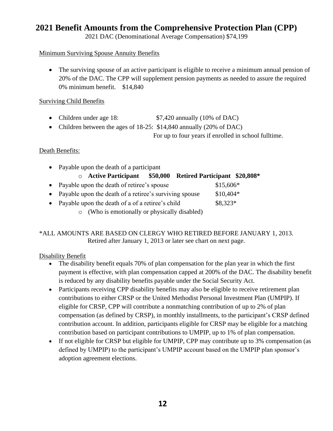# **2021 Benefit Amounts from the Comprehensive Protection Plan (CPP)**

2021 DAC (Denominational Average Compensation) \$74,199

# Minimum Surviving Spouse Annuity Benefits

• The surviving spouse of an active participant is eligible to receive a minimum annual pension of 20% of the DAC. The CPP will supplement pension payments as needed to assure the required 0% minimum benefit. \$14,840

## Surviving Child Benefits

- Children under age 18:  $$7,420$  annually (10% of DAC)
- Children between the ages of 18-25: \$14,840 annually (20% of DAC)

For up to four years if enrolled in school fulltime.

### Death Benefits:

- Payable upon the death of a participant o **Active Participant \$50,000 Retired Participant \$20,808\***  • Payable upon the death of retiree's spouse \$15,606\* • Payable upon the death of a retiree's surviving spouse \$10,404\* • Payable upon the death of a of a retiree's child \$8,323\*
	- o (Who is emotionally or physically disabled)

# \*ALL AMOUNTS ARE BASED ON CLERGY WHO RETIRED BEFORE JANUARY 1, 2013. Retired after January 1, 2013 or later see chart on next page.

# Disability Benefit

- The disability benefit equals 70% of plan compensation for the plan year in which the first payment is effective, with plan compensation capped at 200% of the DAC. The disability benefit is reduced by any disability benefits payable under the Social Security Act.
- Participants receiving CPP disability benefits may also be eligible to receive retirement plan contributions to either CRSP or the United Methodist Personal Investment Plan (UMPIP). If eligible for CRSP, CPP will contribute a nonmatching contribution of up to 2% of plan compensation (as defined by CRSP), in monthly installments, to the participant's CRSP defined contribution account. In addition, participants eligible for CRSP may be eligible for a matching contribution based on participant contributions to UMPIP, up to 1% of plan compensation.
- If not eligible for CRSP but eligible for UMPIP, CPP may contribute up to 3% compensation (as defined by UMPIP) to the participant's UMPIP account based on the UMPIP plan sponsor's adoption agreement elections.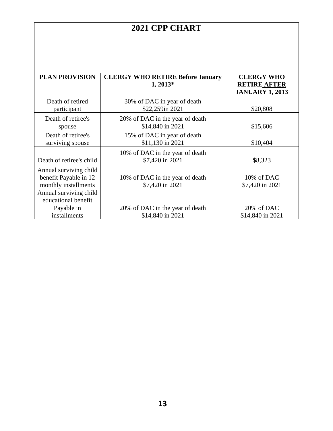# **2021 CPP CHART**

| <b>PLAN PROVISION</b>                                                   | <b>CLERGY WHO RETIRE Before January</b><br>$1,2013*$ | <b>CLERGY WHO</b><br><b>RETIRE AFTER</b><br><b>JANUARY 1, 2013</b> |  |
|-------------------------------------------------------------------------|------------------------------------------------------|--------------------------------------------------------------------|--|
| Death of retired<br>participant                                         | 30% of DAC in year of death<br>\$22,259in 2021       | \$20,808                                                           |  |
| Death of retiree's<br>spouse                                            | 20% of DAC in the year of death<br>\$14,840 in 2021  | \$15,606                                                           |  |
| Death of retiree's<br>surviving spouse                                  | 15% of DAC in year of death<br>\$11,130 in 2021      | \$10,404                                                           |  |
| Death of retiree's child                                                | 10% of DAC in the year of death<br>\$7,420 in 2021   | \$8,323                                                            |  |
| Annual surviving child<br>benefit Payable in 12<br>monthly installments | 10% of DAC in the year of death<br>\$7,420 in 2021   | 10% of DAC<br>\$7,420 in 2021                                      |  |
| Annual surviving child<br>educational benefit                           |                                                      |                                                                    |  |
| Payable in<br>installments                                              | 20% of DAC in the year of death<br>\$14,840 in 2021  | 20% of DAC<br>\$14,840 in 2021                                     |  |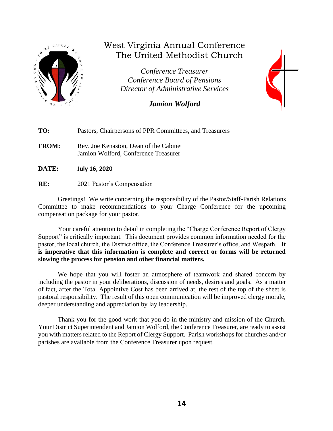

# West Virginia Annual Conference The United Methodist Church

*Conference Treasurer Conference Board of Pensions Director of Administrative Services*

*Jamion Wolford*



| DATE:        | <b>July 16, 2020</b>                                                           |
|--------------|--------------------------------------------------------------------------------|
| <b>FROM:</b> | Rev. Joe Kenaston, Dean of the Cabinet<br>Jamion Wolford, Conference Treasurer |
| TO:          | Pastors, Chairpersons of PPR Committees, and Treasurers                        |

**RE:** 2021 Pastor's Compensation

Greetings! We write concerning the responsibility of the Pastor/Staff-Parish Relations Committee to make recommendations to your Charge Conference for the upcoming compensation package for your pastor.

Your careful attention to detail in completing the "Charge Conference Report of Clergy Support" is critically important. This document provides common information needed for the pastor, the local church, the District office, the Conference Treasurer's office, and Wespath. **It is imperative that this information is complete and correct or forms will be returned slowing the process for pension and other financial matters.**

We hope that you will foster an atmosphere of teamwork and shared concern by including the pastor in your deliberations, discussion of needs, desires and goals. As a matter of fact, after the Total Appointive Cost has been arrived at, the rest of the top of the sheet is pastoral responsibility. The result of this open communication will be improved clergy morale, deeper understanding and appreciation by lay leadership.

Thank you for the good work that you do in the ministry and mission of the Church. Your District Superintendent and Jamion Wolford, the Conference Treasurer, are ready to assist you with matters related to the Report of Clergy Support. Parish workshops for churches and/or parishes are available from the Conference Treasurer upon request.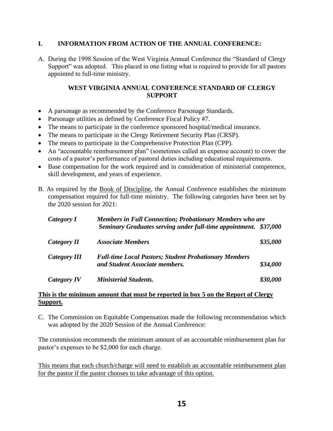### **I. INFORMATION FROM ACTION OF THE ANNUAL CONFERENCE:**

A. During the 1998 Session of the West Virginia Annual Conference the "Standard of Clergy Support" was adopted. This placed in one listing what is required to provide for all pastors appointed to full-time ministry.

## **WEST VIRGINIA ANNUAL CONFERENCE STANDARD OF CLERGY SUPPORT**

- A parsonage as recommended by the Conference Parsonage Standards.
- Parsonage utilities as defined by Conference Fiscal Policy #7.
- The means to participate in the conference sponsored hospital/medical insurance.
- The means to participate in the Clergy Retirement Security Plan (CRSP).
- The means to participate in the Comprehensive Protection Plan (CPP).
- An "accountable reimbursement plan" (sometimes called an expense account) to cover the costs of a pastor's performance of pastoral duties including educational requirements.
- Base compensation for the work required and in consideration of ministerial competence, skill development, and years of experience.
- B. As required by the Book of Discipline, the Annual Conference establishes the minimum compensation required for full-time ministry. The following categories have been set by the 2020 session for 2021:

| Category I          | <b>Members in Full Connection; Probationary Members who are</b><br>Seminary Graduates serving under full-time appointment. \$37,000 |          |  |
|---------------------|-------------------------------------------------------------------------------------------------------------------------------------|----------|--|
| Category II         | <b>Associate Members</b>                                                                                                            | \$35,000 |  |
| <b>Category III</b> | <b>Full-time Local Pastors; Student Probationary Members</b><br>and Student Associate members.                                      | \$34,000 |  |
| Category <b>IV</b>  | <b>Ministerial Students.</b>                                                                                                        | \$30,000 |  |

### **This is the minimum amount that must be reported in box 5 on the Report of Clergy Support.**

C. The Commission on Equitable Compensation made the following recommendation which was adopted by the 2020 Session of the Annual Conference:

The commission recommends the minimum amount of an accountable reimbursement plan for pastor's expenses to be \$2,000 for each charge.

This means that each church/charge will need to establish an accountable reimbursement plan for the pastor if the pastor chooses to take advantage of this option.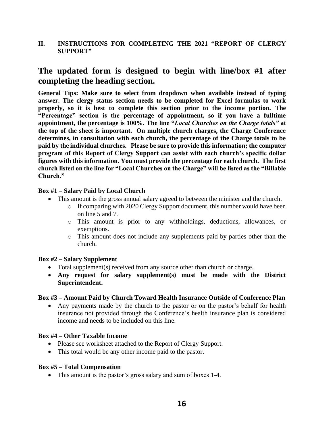# **II. INSTRUCTIONS FOR COMPLETING THE 2021 "REPORT OF CLERGY SUPPORT"**

# **The updated form is designed to begin with line/box #1 after completing the heading section.**

**General Tips: Make sure to select from dropdown when available instead of typing answer. The clergy status section needs to be completed for Excel formulas to work properly, so it is best to complete this section prior to the income portion. The "Percentage" section is the percentage of appointment, so if you have a fulltime appointment, the percentage is 100%. The line "***Local Churches on the Charge totals"* **at the top of the sheet is important. On multiple church charges, the Charge Conference determines, in consultation with each church, the percentage of the Charge totals to be paid by the individual churches. Please be sure to provide this information; the computer program of this Report of Clergy Support can assist with each church's specific dollar figures with this information. You must provide the percentage for each church. The first church listed on the line for "Local Churches on the Charge" will be listed as the "Billable Church."**

### **Box #1 – Salary Paid by Local Church**

- This amount is the gross annual salary agreed to between the minister and the church.
	- o If comparing with 2020 Clergy Support document, this number would have been on line 5 and 7.
	- o This amount is prior to any withholdings, deductions, allowances, or exemptions.
	- o This amount does not include any supplements paid by parties other than the church.

### **Box #2 – Salary Supplement**

- Total supplement(s) received from any source other than church or charge.
- **Any request for salary supplement(s) must be made with the District Superintendent.**

#### **Box #3 – Amount Paid by Church Toward Health Insurance Outside of Conference Plan**

• Any payments made by the church to the pastor or on the pastor's behalf for health insurance not provided through the Conference's health insurance plan is considered income and needs to be included on this line.

#### **Box #4 – Other Taxable Income**

- Please see worksheet attached to the Report of Clergy Support.
- This total would be any other income paid to the pastor.

#### **Box #5 – Total Compensation**

• This amount is the pastor's gross salary and sum of boxes 1-4.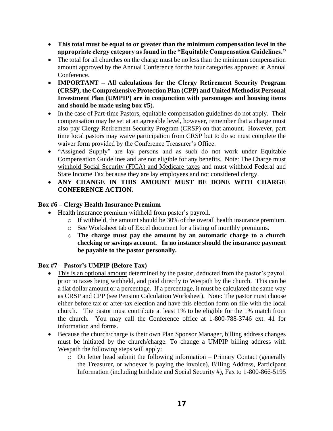- **This total must be equal to or greater than the minimum compensation level in the appropriate clergy category as found in the "Equitable Compensation Guidelines."**
- The total for all churches on the charge must be no less than the minimum compensation amount approved by the Annual Conference for the four categories approved at Annual Conference.
- **IMPORTANT – All calculations for the Clergy Retirement Security Program (CRSP), the Comprehensive Protection Plan (CPP) and United Methodist Personal Investment Plan (UMPIP) are in conjunction with parsonages and housing items and should be made using box #5**)**.**
- In the case of Part-time Pastors, equitable compensation guidelines do not apply. Their compensation may be set at an agreeable level, however, remember that a charge must also pay Clergy Retirement Security Program (CRSP) on that amount. However, part time local pastors may waive participation from CRSP but to do so must complete the waiver form provided by the Conference Treasurer's Office.
- "Assigned Supply" are lay persons and as such do not work under Equitable Compensation Guidelines and are not eligible for any benefits. Note: The Charge must withhold Social Security (FICA) and Medicare taxes and must withhold Federal and State Income Tax because they are lay employees and not considered clergy.
- **ANY CHANGE IN THIS AMOUNT MUST BE DONE WITH CHARGE CONFERENCE ACTION.**

# **Box #6 – Clergy Health Insurance Premium**

- Health insurance premium withheld from pastor's payroll.
	- o If withheld, the amount should be 30% of the overall health insurance premium.
	- o See Worksheet tab of Excel document for a listing of monthly premiums.
	- o **The charge must pay the amount by an automatic charge to a church checking or savings account. In no instance should the insurance payment be payable to the pastor personally.**

### **Box #7 – Pastor's UMPIP (Before Tax)**

- This is an optional amount determined by the pastor, deducted from the pastor's payroll prior to taxes being withheld, and paid directly to Wespath by the church. This can be a flat dollar amount or a percentage. If a percentage, it must be calculated the same way as CRSP and CPP (see Pension Calculation Worksheet). Note: The pastor must choose either before tax or after-tax election and have this election form on file with the local church. The pastor must contribute at least 1% to be eligible for the 1% match from the church. You may call the Conference office at 1-800-788-3746 ext. 41 for information and forms.
- Because the church/charge is their own Plan Sponsor Manager, billing address changes must be initiated by the church/charge. To change a UMPIP billing address with Wespath the following steps will apply:
	- o On letter head submit the following information Primary Contact (generally the Treasurer, or whoever is paying the invoice), Billing Address, Participant Information (including birthdate and Social Security #), Fax to 1-800-866-5195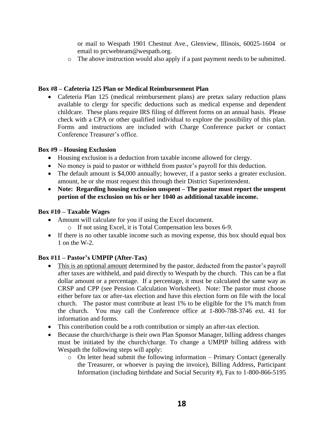or mail to Wespath 1901 Chestnut Ave., Glenview, Illinois, 60025-1604 or email to prcwebteam@wespath.org.

o The above instruction would also apply if a past payment needs to be submitted.

#### **Box #8 – Cafeteria 125 Plan or Medical Reimbursement Plan**

• Cafeteria Plan 125 (medical reimbursement plans) are pretax salary reduction plans available to clergy for specific deductions such as medical expense and dependent childcare. These plans require IRS filing of different forms on an annual basis. Please check with a CPA or other qualified individual to explore the possibility of this plan. Forms and instructions are included with Charge Conference packet or contact Conference Treasurer's office.

### **Box #9 – Housing Exclusion**

- Housing exclusion is a deduction from taxable income allowed for clergy.
- No money is paid to pastor or withheld from pastor's payroll for this deduction.
- The default amount is \$4,000 annually; however, if a pastor seeks a greater exclusion. amount, he or she must request this through their District Superintendent.
- **Note: Regarding housing exclusion unspent – The pastor must report the unspent portion of the exclusion on his or her 1040 as additional taxable income.**

#### **Box #10 – Taxable Wages**

- Amount will calculate for you if using the Excel document.
	- o If not using Excel, it is Total Compensation less boxes 6-9.
- If there is no other taxable income such as moving expense, this box should equal box 1 on the W-2.

### **Box #11 – Pastor's UMPIP (After-Tax)**

- This is an optional amount determined by the pastor, deducted from the pastor's payroll after taxes are withheld, and paid directly to Wespath by the church. This can be a flat dollar amount or a percentage. If a percentage, it must be calculated the same way as CRSP and CPP (see Pension Calculation Worksheet). Note: The pastor must choose either before tax or after-tax election and have this election form on file with the local church. The pastor must contribute at least 1% to be eligible for the 1% match from the church. You may call the Conference office at 1-800-788-3746 ext. 41 for information and forms.
- This contribution could be a roth contribution or simply an after-tax election.
- Because the church/charge is their own Plan Sponsor Manager, billing address changes must be initiated by the church/charge. To change a UMPIP billing address with Wespath the following steps will apply:
	- $\circ$  On letter head submit the following information Primary Contact (generally the Treasurer, or whoever is paying the invoice), Billing Address, Participant Information (including birthdate and Social Security #), Fax to 1-800-866-5195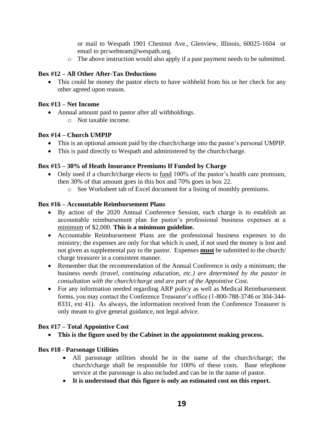or mail to Wespath 1901 Chestnut Ave., Glenview, Illinois, 60025-1604 or email to prcwebteam@wespath.org.

o The above instruction would also apply if a past payment needs to be submitted.

# **Box #12 – All Other After-Tax Deductions**

• This could be money the pastor elects to have withheld from his or her check for any other agreed upon reason.

### **Box #13 – Net Income**

- Annual amount paid to pastor after all withholdings.
	- o Not taxable income.

### **Box #14 – Church UMPIP**

- This is an optional amount paid by the church/charge into the pastor's personal UMPIP.
- This is paid directly to Wespath and administered by the church/charge.

### **Box #15 – 30% of Heath Insurance Premiums If Funded by Charge**

- Only used if a church/charge elects to fund 100% of the pastor's health care premium, then 30% of that amount goes in this box and 70% goes in box 22.
	- o See Worksheet tab of Excel document for a listing of monthly premiums.

### **Box #16 – Accountable Reimbursement Plans**

- By action of the 2020 Annual Conference Session, each charge is to establish an accountable reimbursement plan for pastor's professional business expenses at a minimum of \$2,000. **This is a minimum guideline.**
- Accountable Reimbursement Plans are the professional business expenses to do ministry; the expenses are only for that which is used, if not used the money is lost and not given as supplemental pay to the pastor. Expenses **must** be submitted to the church/ charge treasurer in a consistent manner.
- Remember that the recommendation of the Annual Conference is only a minimum; the business *needs (travel, continuing education, etc.) are determined by the pastor in consultation with the church/charge and are part of the Appointive Cost.*
- For any information needed regarding ARP policy as well as Medical Reimbursement forms, you may contact the Conference Treasurer's office (1-800-788-3746 or 304-344- 8331, ext 41). As always, the information received from the Conference Treasurer is only meant to give general guidance, not legal advice.

### **Box #17 – Total Appointive Cost**

• **This is the figure used by the Cabinet in the appointment making process.**

### **Box #18 - Parsonage Utilities**

- All parsonage utilities should be in the name of the church/charge; the church/charge shall be responsible for 100% of these costs. Base telephone service at the parsonage is also included and can be in the name of pastor.
- **It is understood that this figure is only an estimated cost on this report.**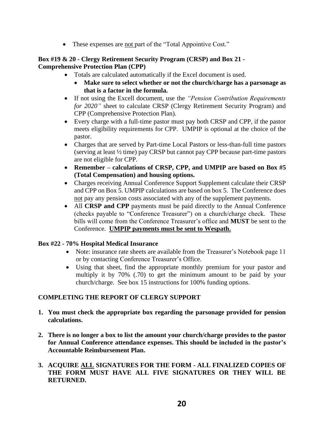• These expenses are not part of the "Total Appointive Cost."

### **Box #19 & 20 - Clergy Retirement Security Program (CRSP) and Box 21 - Comprehensive Protection Plan (CPP)**

- Totals are calculated automatically if the Excel document is used.
	- **Make sure to select whether or not the church/charge has a parsonage as that is a factor in the formula.**
- If not using the Excell document, use the *"Pension Contribution Requirements for 2020"* sheet to calculate CRSP (Clergy Retirement Security Program) and CPP (Comprehensive Protection Plan).
- Every charge with a full-time pastor must pay both CRSP and CPP, if the pastor meets eligibility requirements for CPP. UMPIP is optional at the choice of the pastor.
- Charges that are served by Part-time Local Pastors or less-than-full time pastors (serving at least ½ time) pay CRSP but cannot pay CPP because part-time pastors are not eligible for CPP.
- **Remember – calculations of CRSP, CPP, and UMPIP are based on Box #5 (Total Compensation) and housing options.**
- Charges receiving Annual Conference Support Supplement calculate their CRSP and CPP on Box 5. UMPIP calculations are based on box 5. The Conference does not pay any pension costs associated with any of the supplement payments.
- All **CRSP and CPP** payments must be paid directly to the Annual Conference (checks payable to "Conference Treasurer") on a church/charge check. These bills will come from the Conference Treasurer's office and **MUST** be sent to the Conference. **UMPIP payments must be sent to Wespath.**

### **Box #22** *-* **70% Hospital Medical Insurance**

- Note: insurance rate sheets are available from the Treasurer's Notebook page 11 or by contacting Conference Treasurer's Office.
- Using that sheet, find the appropriate monthly premium for your pastor and multiply it by 70% (.70) to get the minimum amount to be paid by your church/charge. See box 15 instructions for 100% funding options.

# **COMPLETING THE REPORT OF CLERGY SUPPORT**

- **1. You must check the appropriate box regarding the parsonage provided for pension calculations.**
- **2. There is no longer a box to list the amount your church/charge provides to the pastor for Annual Conference attendance expenses. This should be included in the pastor's Accountable Reimbursement Plan.**
- **3. ACQUIRE ALL SIGNATURES FOR THE FORM - ALL FINALIZED COPIES OF THE FORM MUST HAVE ALL FIVE SIGNATURES OR THEY WILL BE RETURNED.**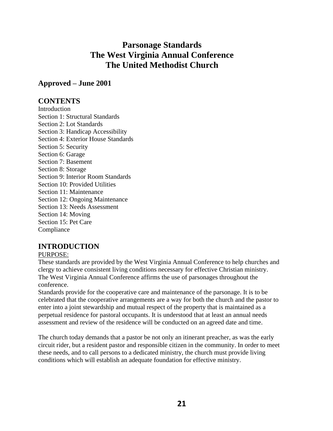# **Parsonage Standards The West Virginia Annual Conference The United Methodist Church**

# **Approved – June 2001**

# **CONTENTS**

**Introduction** Section 1: Structural Standards Section 2: Lot Standards Section 3: Handicap Accessibility Section 4: Exterior House Standards Section 5: Security Section 6: Garage Section 7: Basement Section 8: Storage Section 9: Interior Room Standards Section 10: Provided Utilities Section 11: Maintenance Section 12: Ongoing Maintenance Section 13: Needs Assessment Section 14: Moving Section 15: Pet Care Compliance

# **INTRODUCTION**

### PURPOSE:

These standards are provided by the West Virginia Annual Conference to help churches and clergy to achieve consistent living conditions necessary for effective Christian ministry. The West Virginia Annual Conference affirms the use of parsonages throughout the conference.

Standards provide for the cooperative care and maintenance of the parsonage. It is to be celebrated that the cooperative arrangements are a way for both the church and the pastor to enter into a joint stewardship and mutual respect of the property that is maintained as a perpetual residence for pastoral occupants. It is understood that at least an annual needs assessment and review of the residence will be conducted on an agreed date and time.

The church today demands that a pastor be not only an itinerant preacher, as was the early circuit rider, but a resident pastor and responsible citizen in the community. In order to meet these needs, and to call persons to a dedicated ministry, the church must provide living conditions which will establish an adequate foundation for effective ministry.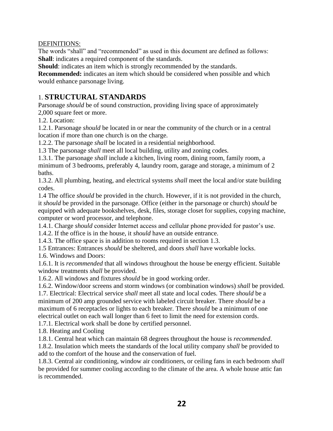## DEFINITIONS:

The words "shall" and "recommended" as used in this document are defined as follows: **Shall**: indicates a required component of the standards.

**Should**: indicates an item which is strongly recommended by the standards.

**Recommended:** indicates an item which should be considered when possible and which would enhance parsonage living.

# 1. **STRUCTURAL STANDARDS**

Parsonage *should* be of sound construction, providing living space of approximately 2,000 square feet or more.

1.2. Location:

1.2.1. Parsonage *should* be located in or near the community of the church or in a central location if more than one church is on the charge.

1.2.2. The parsonage *shall* be located in a residential neighborhood.

1.3 The parsonage *shall* meet all local building, utility and zoning codes.

1.3.1. The parsonage *shall* include a kitchen, living room, dining room, family room, a minimum of 3 bedrooms, preferably 4, laundry room, garage and storage, a minimum of 2 baths.

1.3.2. All plumbing, heating, and electrical systems *shall* meet the local and/or state building codes.

1.4 The office *should* be provided in the church. However, if it is not provided in the church, it *should* be provided in the parsonage. Office (either in the parsonage or church) *should* be equipped with adequate bookshelves, desk, files, storage closet for supplies, copying machine, computer or word processor, and telephone.

1.4.1. Charge *should* consider Internet access and cellular phone provided for pastor's use.

1.4.2. If the office is in the house, it *should* have an outside entrance.

1.4.3. The office space is in addition to rooms required in section 1.3.

1.5 Entrances: Entrances *should* be sheltered, and doors *shall* have workable locks.

1.6. Windows and Doors:

1.6.1. It is *recommended* that all windows throughout the house be energy efficient. Suitable window treatments *shall* be provided.

1.6.2. All windows and fixtures *should* be in good working order.

1.6.2. Window/door screens and storm windows (or combination windows) *shall* be provided. 1.7. Electrical: Electrical service *shall* meet all state and local codes. There *should* be a minimum of 200 amp grounded service with labeled circuit breaker. There *should* be a maximum of 6 receptacles or lights to each breaker. There *should* be a minimum of one electrical outlet on each wall longer than 6 feet to limit the need for extension cords.

1.7.1. Electrical work shall be done by certified personnel.

1.8. Heating and Cooling

1.8.1. Central heat which can maintain 68 degrees throughout the house is *recommended*.

1.8.2. Insulation which meets the standards of the local utility company *shall* be provided to add to the comfort of the house and the conservation of fuel.

1.8.3. Central air conditioning, window air conditioners, or ceiling fans in each bedroom *shall* be provided for summer cooling according to the climate of the area. A whole house attic fan is recommended.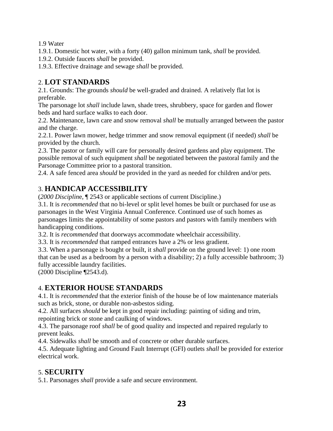1.9 Water

1.9.1. Domestic hot water, with a forty (40) gallon minimum tank, *shall* be provided.

1.9.2. Outside faucets *shall* be provided.

1.9.3. Effective drainage and sewage *shall* be provided.

# 2. **LOT STANDARDS**

2.1. Grounds: The grounds *should* be well-graded and drained. A relatively flat lot is preferable.

The parsonage lot *shall* include lawn, shade trees, shrubbery, space for garden and flower beds and hard surface walks to each door.

2.2. Maintenance, lawn care and snow removal *shall* be mutually arranged between the pastor and the charge.

2.2.1. Power lawn mower, hedge trimmer and snow removal equipment (if needed) *shall* be provided by the church.

2.3. The pastor or family will care for personally desired gardens and play equipment. The possible removal of such equipment *shall* be negotiated between the pastoral family and the Parsonage Committee prior to a pastoral transition.

2.4. A safe fenced area *should* be provided in the yard as needed for children and/or pets.

# 3. **HANDICAP ACCESSIBILITY**

(*2000 Disciplin*e, ¶ 2543 or applicable sections of current Discipline.)

3.1. It is *recommended* that no bi-level or split level homes be built or purchased for use as parsonages in the West Virginia Annual Conference. Continued use of such homes as parsonages limits the appointability of some pastors and pastors with family members with handicapping conditions.

3.2. It is *recommended* that doorways accommodate wheelchair accessibility.

3.3. It is *recommended* that ramped entrances have a 2% or less gradient.

3.3. When a parsonage is bought or built, it *shall* provide on the ground level: 1) one room that can be used as a bedroom by a person with a disability; 2) a fully accessible bathroom; 3) fully accessible laundry facilities.

(2000 Discipline ¶2543.d).

# 4. **EXTERIOR HOUSE STANDARDS**

4.1. It is *recommended* that the exterior finish of the house be of low maintenance materials such as brick, stone, or durable non-asbestos siding.

4.2. All surfaces *should* be kept in good repair including: painting of siding and trim, repointing brick or stone and caulking of windows.

4.3. The parsonage roof *shall* be of good quality and inspected and repaired regularly to prevent leaks.

4.4. Sidewalks *shall* be smooth and of concrete or other durable surfaces.

4.5. Adequate lighting and Ground Fault Interrupt (GFI) outlets *shall* be provided for exterior electrical work.

# 5. **SECURITY**

5.1. Parsonages *shall* provide a safe and secure environment.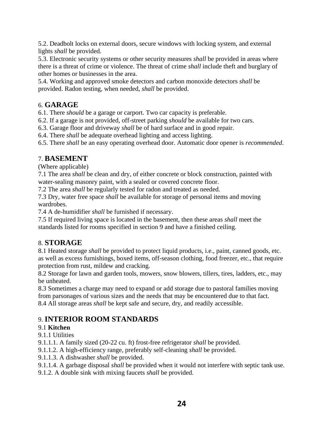5.2. Deadbolt locks on external doors, secure windows with locking system, and external lights *shall* be provided.

5.3. Electronic security systems or other security measures *shall* be provided in areas where there is a threat of crime or violence. The threat of crime *shall* include theft and burglary of other homes or businesses in the area.

5.4. Working and approved smoke detectors and carbon monoxide detectors *shall* be provided. Radon testing, when needed, *shall* be provided.

# 6. **GARAGE**

6.1. There *should* be a garage or carport. Two car capacity is preferable.

6.2. If a garage is not provided, off-street parking *should* be available for two cars.

6.3. Garage floor and driveway *shall* be of hard surface and in good repair.

6.4. There *shall* be adequate overhead lighting and access lighting.

6.5. There *shall* be an easy operating overhead door. Automatic door opener is *recommended*.

# 7. **BASEMENT**

(Where applicable)

7.1 The area *shall* be clean and dry, of either concrete or block construction, painted with water-sealing masonry paint, with a sealed or covered concrete floor.

7.2 The area *shall* be regularly tested for radon and treated as needed.

7.3 Dry, water free space *shall* be available for storage of personal items and moving wardrobes.

7.4 A de-humidifier *shall* be furnished if necessary.

7.5 If required living space is located in the basement, then these areas *shall* meet the standards listed for rooms specified in section 9 and have a finished ceiling.

# 8. **STORAGE**

8.1 Heated storage *shall* be provided to protect liquid products, i.e., paint, canned goods, etc. as well as excess furnishings, boxed items, off-season clothing, food freezer, etc., that require protection from rust, mildew and cracking.

8.2 Storage for lawn and garden tools, mowers, snow blowers, tillers, tires, ladders, etc., may be unheated.

8.3 Sometimes a charge may need to expand or add storage due to pastoral families moving from parsonages of various sizes and the needs that may be encountered due to that fact. 8.4 All storage areas *shall* be kept safe and secure, dry, and readily accessible.

# 9. **INTERIOR ROOM STANDARDS**

# 9.1 **Kitchen**

9.1.1 Utilities

9.1.1.1. A family sized (20-22 cu. ft) frost-free refrigerator *shall* be provided.

9.1.1.2. A high-efficiency range, preferably self-cleaning *shall* be provided.

9.1.1.3. A dishwasher *shall* be provided.

9.1.1.4. A garbage disposal *shall* be provided when it would not interfere with septic tank use.

9.1.2. A double sink with mixing faucets *shall* be provided.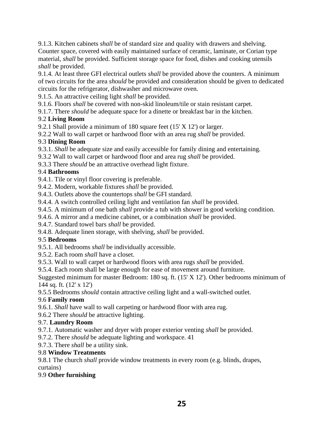9.1.3. Kitchen cabinets *shall* be of standard size and quality with drawers and shelving. Counter space, covered with easily maintained surface of ceramic, laminate, or Corian type material, *shall* be provided. Sufficient storage space for food, dishes and cooking utensils *shall* be provided.

9.1.4. At least three GFI electrical outlets *shall* be provided above the counters. A minimum of two circuits for the area *should* be provided and consideration should be given to dedicated circuits for the refrigerator, dishwasher and microwave oven.

# 9.1.5. An attractive ceiling light *shall* be provided.

9.1.6. Floors *shall* be covered with non-skid linoleum/tile or stain resistant carpet.

9.1.7. There *should* be adequate space for a dinette or breakfast bar in the kitchen.

# 9.2 **Living Room**

9.2.1 Shall provide a minimum of 180 square feet (15' X 12') or larger.

9.2.2 Wall to wall carpet or hardwood floor with an area rug *shall* be provided.

# 9.3 **Dining Room**

- 9.3.1. *Shall* be adequate size and easily accessible for family dining and entertaining.
- 9.3.2 Wall to wall carpet or hardwood floor and area rug *shall* be provided.

9.3.3 There *should* be an attractive overhead light fixture.

# 9.4 **Bathrooms**

9.4.1. Tile or vinyl floor covering is preferable.

- 9.4.2. Modern, workable fixtures *shall* be provided.
- 9.4.3. Outlets above the countertops *shall* be GFI standard.
- 9.4.4. A switch controlled ceiling light and ventilation fan *shall* be provided.
- 9.4.5. A minimum of one bath *shall* provide a tub with shower in good working condition.
- 9.4.6. A mirror and a medicine cabinet, or a combination *shall* be provided.

9.4.7. Standard towel bars *shall* be provided.

9.4.8. Adequate linen storage, with shelving, *shall* be provided.

# 9.5 **Bedrooms**

9.5.1. All bedrooms *shall* be individually accessible.

9.5.2. Each room *shall* have a closet.

9.5.3. Wall to wall carpet or hardwood floors with area rugs *shall* be provided.

9.5.4. Each room shall be large enough for ease of movement around furniture.

Suggested minimum for master Bedroom: 180 sq. ft. (15' X 12'). Other bedrooms minimum of 144 sq. ft. (12' x 12')

9.5.5 Bedrooms *should* contain attractive ceiling light and a wall-switched outlet.

# 9.6 **Family room**

9.6.1. *Shall* have wall to wall carpeting or hardwood floor with area rug.

9.6.2 There *should* be attractive lighting.

# 9.7. **Laundry Room**

9.7.1. Automatic washer and dryer with proper exterior venting *shall* be provided.

9.7.2. There *should* be adequate lighting and workspace. 41

9.7.3. There *shall* be a utility sink.

# 9.8 **Window Treatments**

9.8.1 The church *shall* provide window treatments in every room (e.g. blinds, drapes, curtains)

# 9.9 **Other furnishing**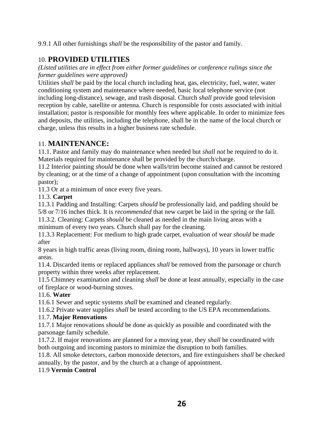9.9.1 All other furnishings *shall* be the responsibility of the pastor and family.

# 10. **PROVIDED UTILITIES**

*(Listed utilities are in effect from either former guidelines or conference rulings since the former guidelines were approved)*

Utilities *shall* be paid by the local church including heat, gas, electricity, fuel, water, water conditioning system and maintenance where needed, basic local telephone service (not including long-distance), sewage, and trash disposal. Church *shall* provide good television reception by cable, satellite or antenna. Church is responsible for costs associated with initial installation; pastor is responsible for monthly fees where applicable. In order to minimize fees and deposits, the utilities, including the telephone, shall be in the name of the local church or charge, unless this results in a higher business rate schedule.

# 11. **MAINTENANCE:**

11.1. Pastor and family may do maintenance when needed but *shall not* be required to do it. Materials required for maintenance shall be provided by the church/charge.

11.2 Interior painting *should* be done when walls/trim become stained and cannot be restored by cleaning; or at the time of a change of appointment (upon consultation with the incoming pastor);

11.3 Or at a minimum of once every five years.

11.3. **Carpet**

11.3.1 Padding and Installing: Carpets *should* be professionally laid, and padding should be 5/8 or 7/16 inches thick. It is *recommended* that new carpet be laid in the spring or the fall.

11.3.2. Cleaning: Carpets *should* be cleaned as needed in the main living areas with a minimum of every two years. Church shall pay for the cleaning.

11.3.3 Replacement: For medium to high grade carpet, evaluation of wear *should* be made after

8 years in high traffic areas (living room, dining room, hallways), 10 years in lower traffic areas.

11.4. Discarded items or replaced appliances *shall* be removed from the parsonage or church property within three weeks after replacement.

11.5 Chimney examination and cleaning *shall* be done at least annually, especially in the case of fireplace or wood-burning stoves.

# 11.6. **Water**

11.6.1 Sewer and septic systems *shall* be examined and cleaned regularly.

11.6.2 Private water supplies *shall* be tested according to the US EPA recommendations.

# 11.7. **Major Renovations**

11.7.1 Major renovations *should* be done as quickly as possible and coordinated with the parsonage family schedule.

11.7.2. If major renovations are planned for a moving year, they *shall* be coordinated with both outgoing and incoming pastors to minimize the disruption to both families.

11.8. All smoke detectors, carbon monoxide detectors, and fire extinguishers *shall* be checked annually, by the pastor, and by the church at a change of appointment.

# 11.9 **Vermin Control**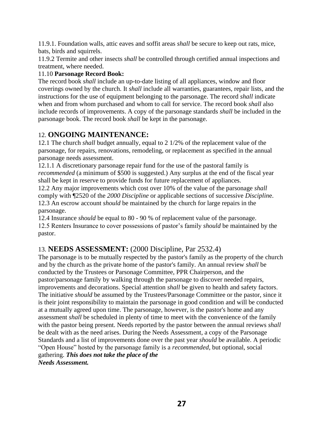11.9.1. Foundation walls, attic eaves and soffit areas *shall* be secure to keep out rats, mice, bats, birds and squirrels.

11.9.2 Termite and other insects *shall* be controlled through certified annual inspections and treatment, where needed.

# 11.10 **Parsonage Record Book:**

The record book *shall* include an up-to-date listing of all appliances, window and floor coverings owned by the church. It *shall* include all warranties, guarantees, repair lists, and the instructions for the use of equipment belonging to the parsonage. The record *shall* indicate when and from whom purchased and whom to call for service. The record book *shall* also include records of improvements. A copy of the parsonage standards *shall* be included in the parsonage book. The record book *shall* be kept in the parsonage.

# 12. **ONGOING MAINTENANCE:**

12.1 The church *shall* budget annually, equal to 2 1/2% of the replacement value of the parsonage, for repairs, renovations, remodeling, or replacement as specified in the annual parsonage needs assessment.

12.1.1 A discretionary parsonage repair fund for the use of the pastoral family is *recommended* (a minimum of \$500 is suggested.) Any surplus at the end of the fiscal year shall be kept in reserve to provide funds for future replacement of appliances.

12.2 Any major improvements which cost over 10% of the value of the parsonage *shall* comply with ¶2520 of the *2000 Discipline* or applicable sections of successive *Disciplin*e. 12.3 An escrow account *should* be maintained by the church for large repairs in the parsonage.

12.4 Insurance *should* be equal to 80 - 90 % of replacement value of the parsonage. 12.5 Renters Insurance to cover possessions of pastor's family *should* be maintained by the pastor.

# 13. **NEEDS ASSESSMENT:** (2000 Discipline, Par 2532.4)

The parsonage is to be mutually respected by the pastor's family as the property of the church and by the church as the private home of the pastor's family. An annual review *shall* be conducted by the Trustees or Parsonage Committee, PPR Chairperson, and the pastor/parsonage family by walking through the parsonage to discover needed repairs, improvements and decorations. Special attention *shall* be given to health and safety factors. The initiative *should* be assumed by the Trustees/Parsonage Committee or the pastor, since it is their joint responsibility to maintain the parsonage in good condition and will be conducted at a mutually agreed upon time. The parsonage, however, is the pastor's home and any assessment *shall* be scheduled in plenty of time to meet with the convenience of the family with the pastor being present. Needs reported by the pastor between the annual reviews *shall*  be dealt with as the need arises. During the Needs Assessment, a copy of the Parsonage Standards and a list of improvements done over the past year *should* be available. A periodic "Open House" hosted by the parsonage family is a *recommended*, but optional, social gathering. *This does not take the place of the Needs Assessment.*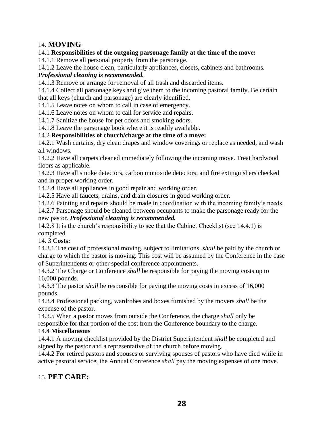# 14. **MOVING**

# 14.1 **Responsibilities of the outgoing parsonage family at the time of the move:**

14.1.1 Remove all personal property from the parsonage.

14.1.2 Leave the house clean, particularly appliances, closets, cabinets and bathrooms.

# *Professional cleaning is recommended.*

14.1.3 Remove or arrange for removal of all trash and discarded items.

14.1.4 Collect all parsonage keys and give them to the incoming pastoral family. Be certain that all keys (church and parsonage) are clearly identified.

14.1.5 Leave notes on whom to call in case of emergency.

14.1.6 Leave notes on whom to call for service and repairs.

14.1.7 Sanitize the house for pet odors and smoking odors.

14.1.8 Leave the parsonage book where it is readily available.

# 14.2 **Responsibilities of church/charge at the time of a move:**

14.2.1 Wash curtains, dry clean drapes and window coverings or replace as needed, and wash all windows.

14.2.2 Have all carpets cleaned immediately following the incoming move. Treat hardwood floors as applicable.

14.2.3 Have all smoke detectors, carbon monoxide detectors, and fire extinguishers checked and in proper working order.

14.2.4 Have all appliances in good repair and working order.

14.2.5 Have all faucets, drains, and drain closures in good working order.

14.2.6 Painting and repairs should be made in coordination with the incoming family's needs.

14.2.7 Parsonage should be cleaned between occupants to make the parsonage ready for the

## new pastor. *Professional cleaning is recommended.*

14.2.8 It is the church's responsibility to see that the Cabinet Checklist (see 14.4.1) is completed.

### 14. 3 **Costs:**

14.3.1 The cost of professional moving, subject to limitations, *shall* be paid by the church or charge to which the pastor is moving. This cost will be assumed by the Conference in the case of Superintendents or other special conference appointments.

14.3.2 The Charge or Conference *shall* be responsible for paying the moving costs up to 16,000 pounds.

14.3.3 The pastor *shall* be responsible for paying the moving costs in excess of 16,000 pounds.

14.3.4 Professional packing, wardrobes and boxes furnished by the movers *shall* be the expense of the pastor.

14.3.5 When a pastor moves from outside the Conference, the charge *shall* only be responsible for that portion of the cost from the Conference boundary to the charge.

# 14.4 **Miscellaneous**

14.4.1 A moving checklist provided by the District Superintendent *shall* be completed and signed by the pastor and a representative of the church before moving.

14.4.2 For retired pastors and spouses or surviving spouses of pastors who have died while in active pastoral service, the Annual Conference *shall* pay the moving expenses of one move.

# 15. **PET CARE:**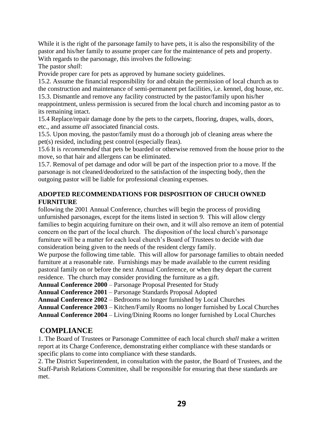While it is the right of the parsonage family to have pets, it is also the responsibility of the pastor and his/her family to assume proper care for the maintenance of pets and property. With regards to the parsonage, this involves the following:

The pastor *shall*:

Provide proper care for pets as approved by humane society guidelines.

15.2. Assume the financial responsibility for and obtain the permission of local church as to the construction and maintenance of semi-permanent pet facilities, i.e. kennel, dog house, etc.

15.3. Dismantle and remove any facility constructed by the pastor/family upon his/her reappointment, unless permission is secured from the local church and incoming pastor as to its remaining intact.

15.4 Replace/repair damage done by the pets to the carpets, flooring, drapes, walls, doors, etc., and assume *all* associated financial costs.

15.5. Upon moving, the pastor/family must do a thorough job of cleaning areas where the pet(s) resided, including pest control (especially fleas).

15.6 It is *recommended* that pets be boarded or otherwise removed from the house prior to the move, so that hair and allergens can be eliminated.

15.7. Removal of pet damage and odor will be part of the inspection prior to a move. If the parsonage is not cleaned/deodorized to the satisfaction of the inspecting body, then the outgoing pastor will be liable for professional cleaning expenses.

# **ADOPTED RECOMMENDATIONS FOR DISPOSITION OF CHUCH OWNED FURNITURE**

following the 2001 Annual Conference, churches will begin the process of providing unfurnished parsonages, except for the items listed in section 9. This will allow clergy families to begin acquiring furniture on their own, and it will also remove an item of potential concern on the part of the local church. The disposition of the local church's parsonage furniture will be a matter for each local church's Board of Trustees to decide with due consideration being given to the needs of the resident clergy family.

We purpose the following time table. This will allow for parsonage families to obtain needed furniture at a reasonable rate. Furnishings may be made available to the current residing pastoral family on or before the next Annual Conference, or when they depart the current residence. The church may consider providing the furniture as a gift.

**Annual Conference 2000** – Parsonage Proposal Presented for Study

**Annual Conference 2001** – Parsonage Standards Proposal Adopted

**Annual Conference 2002** – Bedrooms no longer furnished by Local Churches

**Annual Conference 2003** – Kitchen/Family Rooms no longer furnished by Local Churches

**Annual Conference 2004** – Living/Dining Rooms no longer furnished by Local Churches

# **COMPLIANCE**

1. The Board of Trustees or Parsonage Committee of each local church *shall* make a written report at its Charge Conference, demonstrating either compliance with these standards or specific plans to come into compliance with these standards.

2. The District Superintendent, in consultation with the pastor, the Board of Trustees, and the Staff-Parish Relations Committee, shall be responsible for ensuring that these standards are met.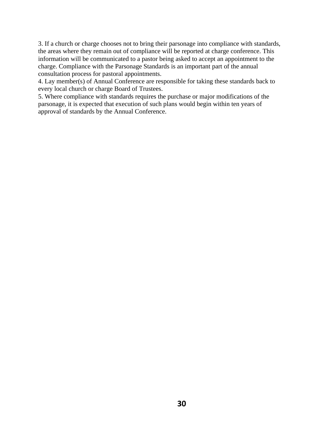3. If a church or charge chooses not to bring their parsonage into compliance with standards, the areas where they remain out of compliance will be reported at charge conference. This information will be communicated to a pastor being asked to accept an appointment to the charge. Compliance with the Parsonage Standards is an important part of the annual consultation process for pastoral appointments.

4. Lay member(s) of Annual Conference are responsible for taking these standards back to every local church or charge Board of Trustees.

5. Where compliance with standards requires the purchase or major modifications of the parsonage, it is expected that execution of such plans would begin within ten years of approval of standards by the Annual Conference.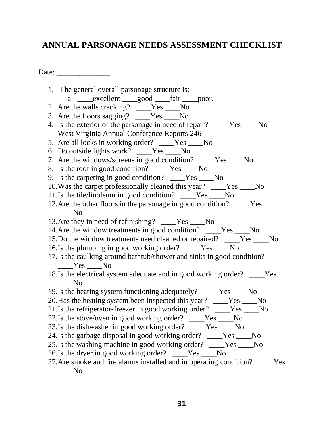# **ANNUAL PARSONAGE NEEDS ASSESSMENT CHECKLIST**

Date:

1. The general overall parsonage structure is: a. \_\_\_\_excellent \_\_\_good \_\_\_\_fair \_\_\_poor. 2. Are the walls cracking? \_\_\_\_Yes \_\_\_No 3. Are the floors sagging? \_\_\_\_Yes \_\_\_\_No 4. Is the exterior of the parsonage in need of repair? \_\_\_\_Yes \_\_\_\_No West Virginia Annual Conference Reports 246 5. Are all locks in working order? \_\_\_\_Yes \_\_\_\_No 6. Do outside lights work? \_\_\_\_Yes \_\_\_\_No 7. Are the windows/screens in good condition? \_\_\_\_\_\_\_\_\_\_\_\_\_\_\_\_\_\_\_\_\_\_\_\_\_\_\_\_\_\_\_\_ 8. Is the roof in good condition? \_\_\_\_Yes \_\_\_\_No 9. Is the carpeting in good condition? Yes No 10.Was the carpet professionally cleaned this year? \_\_\_\_Yes \_\_\_\_No 11.Is the tile/linoleum in good condition? \_\_\_\_Yes \_\_\_\_No 12.Are the other floors in the parsonage in good condition? \_\_\_\_Yes  $\overline{N}$ o 13. Are they in need of refinishing? Yes No 14. Are the window treatments in good condition? \_\_\_\_\_Yes \_\_\_\_\_No 15.Do the window treatments need cleaned or repaired? \_\_\_\_Yes \_\_\_\_No 16.Is the plumbing in good working order? \_\_\_\_Yes \_\_\_\_No 17.Is the caulking around bathtub/shower and sinks in good condition? Yes No 18.Is the electrical system adequate and in good working order? \_\_\_\_Yes  $\overline{N}$ o 19.Is the heating system functioning adequately? \_\_\_\_Yes \_\_\_\_No 20.Has the heating system been inspected this year? \_\_\_\_Yes \_\_\_\_No 21.Is the refrigerator-freezer in good working order? \_\_\_\_Yes \_\_\_\_No 22.Is the stove/oven in good working order? \_\_\_\_Yes \_\_\_\_No 23.Is the dishwasher in good working order? \_\_\_\_Yes \_\_\_\_No 24.Is the garbage disposal in good working order? \_\_\_\_Yes \_\_\_No 25.Is the washing machine in good working order? \_\_\_\_Yes \_\_\_\_No 26.Is the dryer in good working order? \_\_\_\_Yes \_\_\_\_No 27. Are smoke and fire alarms installed and in operating condition? Yes  $\_\_$  No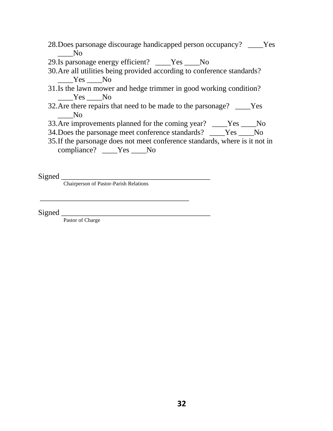- 28.Does parsonage discourage handicapped person occupancy? \_\_\_\_Yes  $\overline{\phantom{0}}$  No
- 29.Is parsonage energy efficient? \_\_\_\_Yes \_\_\_\_No
- 30.Are all utilities being provided according to conference standards?  $Yes$  No
- 31.Is the lawn mower and hedge trimmer in good working condition?  $Yes$  No
- 32.Are there repairs that need to be made to the parsonage? \_\_\_\_Yes  $\overline{N}$ o
- 33.Are improvements planned for the coming year? \_\_\_\_Yes \_\_\_\_No
- 34.Does the parsonage meet conference standards? \_\_\_\_Yes \_\_\_\_No
- 35.If the parsonage does not meet conference standards, where is it not in compliance? \_\_\_\_Yes \_\_\_\_No

Signed \_\_\_\_\_\_\_\_\_\_\_\_\_\_\_\_\_\_\_\_\_\_\_\_\_\_\_\_\_\_\_\_\_\_\_\_\_\_\_

Chairperson of Pastor-Parish Relations

\_\_\_\_\_\_\_\_\_\_\_\_\_\_\_\_\_\_\_\_\_\_\_\_\_\_\_\_\_\_\_\_\_\_\_\_\_\_\_

Signed \_\_\_\_\_\_\_\_\_\_\_\_\_\_\_\_\_\_\_\_\_\_\_\_\_\_\_\_\_\_\_\_\_\_\_\_\_\_\_

Ī

Pastor of Charge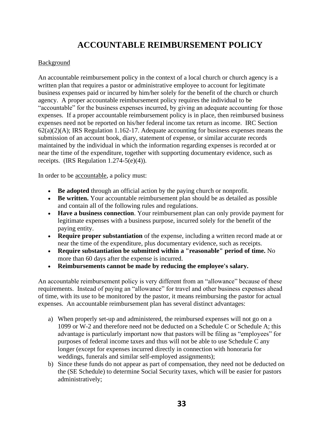# **ACCOUNTABLE REIMBURSEMENT POLICY**

#### Background

An accountable reimbursement policy in the context of a local church or church agency is a written plan that requires a pastor or administrative employee to account for legitimate business expenses paid or incurred by him/her solely for the benefit of the church or church agency. A proper accountable reimbursement policy requires the individual to be "accountable" for the business expenses incurred, by giving an adequate accounting for those expenses. If a proper accountable reimbursement policy is in place, then reimbursed business expenses need not be reported on his/her federal income tax return as income. IRC Section  $62(a)(2)(A)$ ; IRS Regulation 1.162-17. Adequate accounting for business expenses means the submission of an account book, diary, statement of expense, or similar accurate records maintained by the individual in which the information regarding expenses is recorded at or near the time of the expenditure, together with supporting documentary evidence, such as receipts. (IRS Regulation 1.274-5(e)(4)).

In order to be accountable, a policy must:

- **Be adopted** through an official action by the paying church or nonprofit.
- **Be written.** Your accountable reimbursement plan should be as detailed as possible and contain all of the following rules and regulations.
- **Have a business connection**. Your reimbursement plan can only provide payment for legitimate expenses with a business purpose, incurred solely for the benefit of the paying entity.
- **Require proper substantiation** of the expense, including a written record made at or near the time of the expenditure, plus documentary evidence, such as receipts.
- **Require substantiation be submitted within a "reasonable" period of time.** No more than 60 days after the expense is incurred.
- **Reimbursements cannot be made by reducing the employee's salary.**

An accountable reimbursement policy is very different from an "allowance" because of these requirements. Instead of paying an "allowance" for travel and other business expenses ahead of time, with its use to be monitored by the pastor, it means reimbursing the pastor for actual expenses. An accountable reimbursement plan has several distinct advantages:

- a) When properly set-up and administered, the reimbursed expenses will not go on a 1099 or W-2 and therefore need not be deducted on a Schedule C or Schedule A; this advantage is particularly important now that pastors will be filing as "employees" for purposes of federal income taxes and thus will not be able to use Schedule C any longer (except for expenses incurred directly in connection with honoraria for weddings, funerals and similar self-employed assignments);
- b) Since these funds do not appear as part of compensation, they need not be deducted on the (SE Schedule) to determine Social Security taxes, which will be easier for pastors administratively;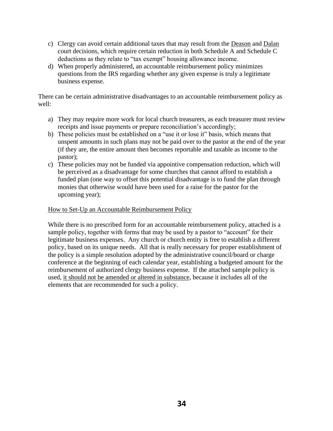- c) Clergy can avoid certain additional taxes that may result from the Deason and Dalan court decisions, which require certain reduction in both Schedule A and Schedule C deductions as they relate to "tax exempt" housing allowance income.
- d) When properly administered, an accountable reimbursement policy minimizes questions from the IRS regarding whether any given expense is truly a legitimate business expense.

There can be certain administrative disadvantages to an accountable reimbursement policy as well:

- a) They may require more work for local church treasurers, as each treasurer must review receipts and issue payments or prepare reconciliation's accordingly;
- b) These policies must be established on a "use it or lose it" basis, which means that unspent amounts in such plans may not be paid over to the pastor at the end of the year (if they are, the entire amount then becomes reportable and taxable as income to the pastor);
- c) These policies may not be funded via appointive compensation reduction, which will be perceived as a disadvantage for some churches that cannot afford to establish a funded plan (one way to offset this potential disadvantage is to fund the plan through monies that otherwise would have been used for a raise for the pastor for the upcoming year);

### How to Set-Up an Accountable Reimbursement Policy

While there is no prescribed form for an accountable reimbursement policy, attached is a sample policy, together with forms that may be used by a pastor to "account" for their legitimate business expenses. Any church or church entity is free to establish a different policy, based on its unique needs. All that is really necessary for proper establishment of the policy is a simple resolution adopted by the administrative council/board or charge conference at the beginning of each calendar year, establishing a budgeted amount for the reimbursement of authorized clergy business expense. If the attached sample policy is used, it should not be amended or altered in substance, because it includes all of the elements that are recommended for such a policy.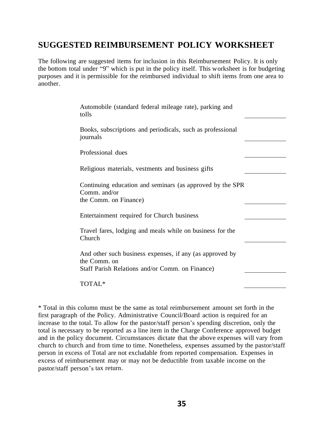# **SUGGESTED REIMBURSEMENT POLICY WORKSHEET**

The following are suggested items for inclusion in this Reimbursement Policy. It is only the bottom total under "9" which is put in the policy itself. This worksheet is for budgeting purposes and it is permissible for the reimbursed individual to shift items from one area to another.

| Automobile (standard federal mileage rate), parking and<br>tolls                                                            |  |
|-----------------------------------------------------------------------------------------------------------------------------|--|
| Books, subscriptions and periodicals, such as professional<br>journals                                                      |  |
| Professional dues                                                                                                           |  |
| Religious materials, vestments and business gifts                                                                           |  |
| Continuing education and seminars (as approved by the SPR<br>Comm. and/or<br>the Comm. on Finance)                          |  |
| Entertainment required for Church business                                                                                  |  |
| Travel fares, lodging and meals while on business for the<br>Church                                                         |  |
| And other such business expenses, if any (as approved by<br>the Comm. on<br>Staff Parish Relations and/or Comm. on Finance) |  |
| TOTAL*                                                                                                                      |  |

\* Total in this column must be the same as total reimbursement amount set forth in the first paragraph of the Policy. Administrative Council/Board action is required for an increase to the total. To allow for the pastor/staff person's spending discretion, only the total is necessary to be reported as a line item in the Charge Conference approved budget and in the policy document. Circumstances dictate that the above expenses will vary from church to church and from time to time. Nonetheless, expenses assumed by the pastor/staff person in excess of Total are not excludable from reported compensation. Expenses in excess of reimbursement may or may not be deductible from taxable income on the pastor/staff person's tax return.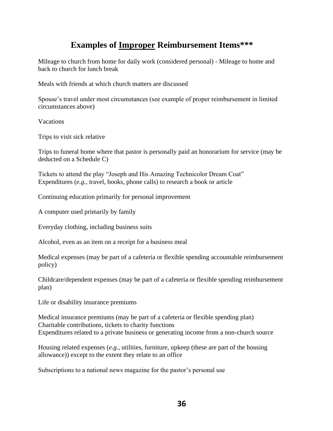# **Examples of Improper Reimbursement Items\*\*\***

Mileage to church from home for daily work (considered personal) - Mileage to home and back to church for lunch break

Meals with friends at which church matters are discussed

Spouse's travel under most circumstances (see example of proper reimbursement in limited circumstances above)

Vacations

Trips to visit sick relative

Trips to funeral home where that pastor is personally paid an honorarium for service (may be deducted on a Schedule C)

Tickets to attend the play "Joseph and His Amazing Technicolor Dream Coat" Expenditures (*e.g.*, travel, books, phone calls) to research a book or article

Continuing education primarily for personal improvement

A computer used primarily by family

Everyday clothing, including business suits

Alcohol, even as an item on a receipt for a business meal

Medical expenses (may be part of a cafeteria or flexible spending accountable reimbursement policy)

Childcare/dependent expenses (may be part of a cafeteria or flexible spending reimbursement plan)

Life or disability insurance premiums

Medical insurance premiums (may be part of a cafeteria or flexible spending plan) Charitable contributions, tickets to charity functions Expenditures related to a private business or generating income from a non-church source

Housing related expenses (*e.g.*, utilities, furniture, upkeep (these are part of the housing allowance)) except to the extent they relate to an office

Subscriptions to a national news magazine for the pastor's personal use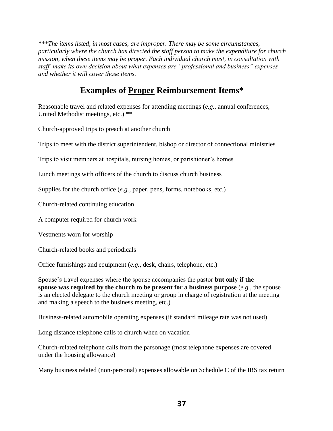*\*\*\*The items listed, in most cases, are improper. There may be some circumstances, particularly where the church has directed the staff person to make the expenditure for church mission, when these items may be proper. Each individual church must, in consultation with staff, make its own decision about what expenses are "professional and business" expenses and whether it will cover those items.*

# **Examples of Proper Reimbursement Items\***

Reasonable travel and related expenses for attending meetings (*e.g.*, annual conferences, United Methodist meetings, etc.) \*\*

Church-approved trips to preach at another church

Trips to meet with the district superintendent, bishop or director of connectional ministries

Trips to visit members at hospitals, nursing homes, or parishioner's homes

Lunch meetings with officers of the church to discuss church business

Supplies for the church office (*e.g.*, paper, pens, forms, notebooks, etc.)

Church-related continuing education

A computer required for church work

Vestments worn for worship

Church-related books and periodicals

Office furnishings and equipment (*e.g.*, desk, chairs, telephone, etc.)

Spouse's travel expenses where the spouse accompanies the pastor **but only if the spouse was required by the church to be present for a business purpose** (*e.g.*, the spouse is an elected delegate to the church meeting or group in charge of registration at the meeting and making a speech to the business meeting, etc.)

Business-related automobile operating expenses (if standard mileage rate was not used)

Long distance telephone calls to church when on vacation

Church-related telephone calls from the parsonage (most telephone expenses are covered under the housing allowance)

Many business related (non-personal) expenses allowable on Schedule C of the IRS tax return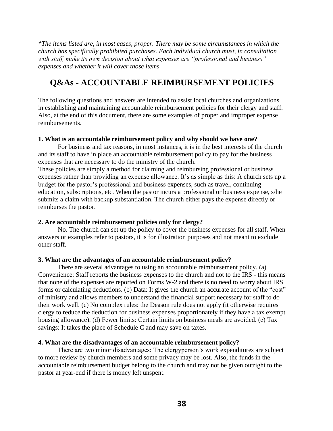*\*The items listed are, in most cases, proper. There may be some circumstances in which the church has specifically prohibited purchases. Each individual church must, in consultation with staff, make its own decision about what expenses are "professional and business" expenses and whether it will cover those items.*

# **Q&As - ACCOUNTABLE REIMBURSEMENT POLICIES**

The following questions and answers are intended to assist local churches and organizations in establishing and maintaining accountable reimbursement policies for their clergy and staff. Also, at the end of this document, there are some examples of proper and improper expense reimbursements.

#### **1. What is an accountable reimbursement policy and why should we have one?**

For business and tax reasons, in most instances, it is in the best interests of the church and its staff to have in place an accountable reimbursement policy to pay for the business expenses that are necessary to do the ministry of the church.

These policies are simply a method for claiming and reimbursing professional or business expenses rather than providing an expense allowance. It's as simple as this: A church sets up a budget for the pastor's professional and business expenses, such as travel, continuing education, subscriptions, etc. When the pastor incurs a professional or business expense, s/he submits a claim with backup substantiation. The church either pays the expense directly or reimburses the pastor.

#### **2. Are accountable reimbursement policies only for clergy?**

No. The church can set up the policy to cover the business expenses for all staff. When answers or examples refer to pastors, it is for illustration purposes and not meant to exclude other staff.

#### **3. What are the advantages of an accountable reimbursement policy?**

There are several advantages to using an accountable reimbursement policy. (a) Convenience: Staff reports the business expenses to the church and not to the IRS - this means that none of the expenses are reported on Forms W-2 and there is no need to worry about IRS forms or calculating deductions. (b) Data: It gives the church an accurate account of the "cost" of ministry and allows members to understand the financial support necessary for staff to do their work well. (c) No complex rules: the Deason rule does not apply (it otherwise requires clergy to reduce the deduction for business expenses proportionately if they have a tax exempt housing allowance). (d) Fewer limits: Certain limits on business meals are avoided. (e) Tax savings: It takes the place of Schedule C and may save on taxes.

#### **4. What are the disadvantages of an accountable reimbursement policy?**

There are two minor disadvantages: The clergyperson's work expenditures are subject to more review by church members and some privacy may be lost. Also, the funds in the accountable reimbursement budget belong to the church and may not be given outright to the pastor at year-end if there is money left unspent.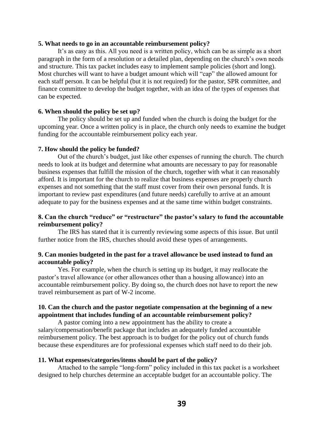#### **5. What needs to go in an accountable reimbursement policy?**

It's as easy as this. All you need is a written policy, which can be as simple as a short paragraph in the form of a resolution or a detailed plan, depending on the church's own needs and structure. This tax packet includes easy to implement sample policies (short and long). Most churches will want to have a budget amount which will "cap" the allowed amount for each staff person. It can be helpful (but it is not required) for the pastor, SPR committee, and finance committee to develop the budget together, with an idea of the types of expenses that can be expected.

#### **6. When should the policy be set up?**

The policy should be set up and funded when the church is doing the budget for the upcoming year. Once a written policy is in place, the church only needs to examine the budget funding for the accountable reimbursement policy each year.

#### **7. How should the policy be funded?**

Out of the church's budget, just like other expenses of running the church. The church needs to look at its budget and determine what amounts are necessary to pay for reasonable business expenses that fulfill the mission of the church, together with what it can reasonably afford. It is important for the church to realize that business expenses are properly church expenses and not something that the staff must cover from their own personal funds. It is important to review past expenditures (and future needs) carefully to arrive at an amount adequate to pay for the business expenses and at the same time within budget constraints.

#### **8. Can the church "reduce" or "restructure" the pastor's salary to fund the accountable reimbursement policy?**

The IRS has stated that it is currently reviewing some aspects of this issue. But until further notice from the IRS, churches should avoid these types of arrangements.

#### **9. Can monies budgeted in the past for a travel allowance be used instead to fund an accountable policy?**

Yes. For example, when the church is setting up its budget, it may reallocate the pastor's travel allowance (or other allowances other than a housing allowance) into an accountable reimbursement policy. By doing so, the church does not have to report the new travel reimbursement as part of W-2 income.

#### **10. Can the church and the pastor negotiate compensation at the beginning of a new appointment that includes funding of an accountable reimbursement policy?**

A pastor coming into a new appointment has the ability to create a salary/compensation/benefit package that includes an adequately funded accountable reimbursement policy. The best approach is to budget for the policy out of church funds because these expenditures are for professional expenses which staff need to do their job.

#### **11. What expenses/categories/items should be part of the policy?**

Attached to the sample "long-form" policy included in this tax packet is a worksheet designed to help churches determine an acceptable budget for an accountable policy. The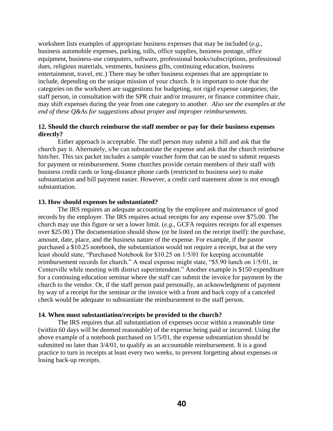worksheet lists examples of appropriate business expenses that may be included (*e.g.*, business automobile expenses, parking, tolls, office supplies, business postage, office equipment, business-use computers, software, professional books/subscriptions, professional dues, religious materials, vestments, business gifts, continuing education, business entertainment, travel, etc.) There may be other business expenses that are appropriate to include, depending on the unique mission of your church. It is important to note that the categories on the worksheet are suggestions for budgeting, not rigid expense categories; the staff person, in consultation with the SPR chair and/or treasurer, or finance committee chair, may shift expenses during the year from one category to another. *Also see the examples at the end of these Q&As for suggestions about proper and improper reimbursements.*

#### **12. Should the church reimburse the staff member or pay for their business expenses directly?**

Either approach is acceptable. The staff person may submit a bill and ask that the church pay it. Alternately, s/he can substantiate the expense and ask that the church reimburse him/her. This tax packet includes a sample voucher form that can be used to submit requests for payment or reimbursement. Some churches provide certain members of their staff with business credit cards or long-distance phone cards (restricted to business use) to make substantiation and bill payment easier. However, a credit card statement alone is not enough substantiation.

#### **13. How should expenses be substantiated?**

The IRS requires an adequate accounting by the employee and maintenance of good records by the employer. The IRS requires actual receipts for any expense over \$75.00. The church may use this figure or set a lower limit. (*e.g.*, GCFA requires receipts for all expenses over \$25.00.) The documentation should show (or be listed on the receipt itself): the purchase, amount, date, place, and the business nature of the expense. For example, if the pastor purchased a \$10.25 notebook, the substantiation would not require a receipt, but at the very least should state, "Purchased Notebook for \$10.25 on 1/5/01 for keeping accountable reimbursement records for church." A meal expense might state, "\$5.90 lunch on 1/5/01, in Centerville while meeting with district superintendent." Another example is \$150 expenditure for a continuing education seminar where the staff can submit the invoice for payment by the church to the vendor. Or, if the staff person paid personally, an acknowledgment of payment by way of a receipt for the seminar or the invoice with a front and back copy of a canceled check would be adequate to substantiate the reimbursement to the staff person.

#### **14. When must substantiation/receipts be provided to the church?**

The IRS requires that all substantiation of expenses occur within a reasonable time (within 60 days will be deemed reasonable) of the expense being paid or incurred. Using the above example of a notebook purchased on 1/5/01, the expense substantiation should be submitted no later than 3/4/01, to qualify as an accountable reimbursement. It is a good practice to turn in receipts at least every two weeks, to prevent forgetting about expenses or losing back-up receipts.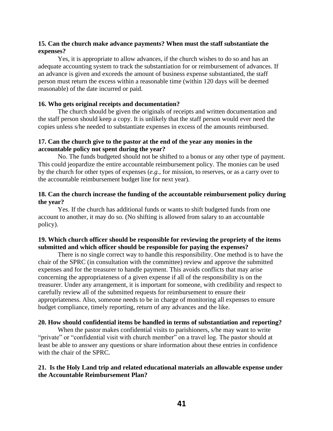### **15. Can the church make advance payments? When must the staff substantiate the expenses?**

Yes, it is appropriate to allow advances, if the church wishes to do so and has an adequate accounting system to track the substantiation for or reimbursement of advances. If an advance is given and exceeds the amount of business expense substantiated, the staff person must return the excess within a reasonable time (within 120 days will be deemed reasonable) of the date incurred or paid.

### **16. Who gets original receipts and documentation?**

The church should be given the originals of receipts and written documentation and the staff person should keep a copy. It is unlikely that the staff person would ever need the copies unless s/he needed to substantiate expenses in excess of the amounts reimbursed.

### **17. Can the church give to the pastor at the end of the year any monies in the accountable policy not spent during the year?**

No. The funds budgeted should not be shifted to a bonus or any other type of payment. This could jeopardize the entire accountable reimbursement policy. The monies can be used by the church for other types of expenses (*e.g.*, for mission, to reserves, or as a carry over to the accountable reimbursement budget line for next year).

### **18. Can the church increase the funding of the accountable reimbursement policy during the year?**

Yes. If the church has additional funds or wants to shift budgeted funds from one account to another, it may do so. (No shifting is allowed from salary to an accountable policy).

### **19. Which church officer should be responsible for reviewing the propriety of the items submitted and which officer should be responsible for paying the expenses?**

There is no single correct way to handle this responsibility. One method is to have the chair of the SPRC (in consultation with the committee) review and approve the submitted expenses and for the treasurer to handle payment. This avoids conflicts that may arise concerning the appropriateness of a given expense if all of the responsibility is on the treasurer. Under any arrangement, it is important for someone, with credibility and respect to carefully review all of the submitted requests for reimbursement to ensure their appropriateness. Also, someone needs to be in charge of monitoring all expenses to ensure budget compliance, timely reporting, return of any advances and the like.

#### **20. How should confidential items be handled in terms of substantiation and reporting?**

When the pastor makes confidential visits to parishioners, s/he may want to write "private" or "confidential visit with church member" on a travel log. The pastor should at least be able to answer any questions or share information about these entries in confidence with the chair of the SPRC.

### **21. Is the Holy Land trip and related educational materials an allowable expense under the Accountable Reimbursement Plan?**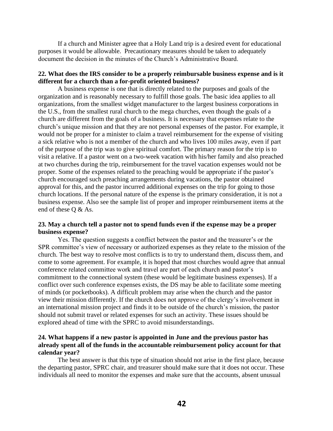If a church and Minister agree that a Holy Land trip is a desired event for educational purposes it would be allowable. Precautionary measures should be taken to adequately document the decision in the minutes of the Church's Administrative Board.

#### **22. What does the IRS consider to be a properly reimbursable business expense and is it different for a church than a for-profit oriented business?**

A business expense is one that is directly related to the purposes and goals of the organization and is reasonably necessary to fulfill those goals. The basic idea applies to all organizations, from the smallest widget manufacturer to the largest business corporations in the U.S., from the smallest rural church to the mega churches, even though the goals of a church are different from the goals of a business. It is necessary that expenses relate to the church's unique mission and that they are not personal expenses of the pastor. For example, it would not be proper for a minister to claim a travel reimbursement for the expense of visiting a sick relative who is not a member of the church and who lives 100 miles away, even if part of the purpose of the trip was to give spiritual comfort. The primary reason for the trip is to visit a relative. If a pastor went on a two-week vacation with his/her family and also preached at two churches during the trip, reimbursement for the travel vacation expenses would not be proper. Some of the expenses related to the preaching would be appropriate if the pastor's church encouraged such preaching arrangements during vacations, the pastor obtained approval for this, and the pastor incurred additional expenses on the trip for going to those church locations. If the personal nature of the expense is the primary consideration, it is not a business expense. Also see the sample list of proper and improper reimbursement items at the end of these Q & As.

#### **23. May a church tell a pastor not to spend funds even if the expense may be a proper business expense?**

Yes. The question suggests a conflict between the pastor and the treasurer's or the SPR committee's view of necessary or authorized expenses as they relate to the mission of the church. The best way to resolve most conflicts is to try to understand them, discuss them, and come to some agreement. For example, it is hoped that most churches would agree that annual conference related committee work and travel are part of each church and pastor's commitment to the connectional system (these would be legitimate business expenses). If a conflict over such conference expenses exists, the DS may be able to facilitate some meeting of minds (or pocketbooks). A difficult problem may arise when the church and the pastor view their mission differently. If the church does not approve of the clergy's involvement in an international mission project and finds it to be outside of the church's mission, the pastor should not submit travel or related expenses for such an activity. These issues should be explored ahead of time with the SPRC to avoid misunderstandings.

### **24. What happens if a new pastor is appointed in June and the previous pastor has already spent all of the funds in the accountable reimbursement policy account for that calendar year?**

The best answer is that this type of situation should not arise in the first place, because the departing pastor, SPRC chair, and treasurer should make sure that it does not occur. These individuals all need to monitor the expenses and make sure that the accounts, absent unusual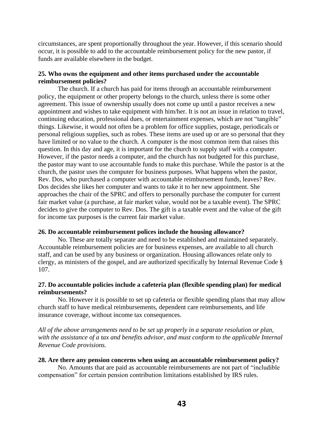circumstances, are spent proportionally throughout the year. However, if this scenario should occur, it is possible to add to the accountable reimbursement policy for the new pastor, if funds are available elsewhere in the budget.

#### **25. Who owns the equipment and other items purchased under the accountable reimbursement policies?**

The church. If a church has paid for items through an accountable reimbursement policy, the equipment or other property belongs to the church, unless there is some other agreement. This issue of ownership usually does not come up until a pastor receives a new appointment and wishes to take equipment with him/her. It is not an issue in relation to travel, continuing education, professional dues, or entertainment expenses, which are not "tangible" things. Likewise, it would not often be a problem for office supplies, postage, periodicals or personal religious supplies, such as robes. These items are used up or are so personal that they have limited or no value to the church. A computer is the most common item that raises this question. In this day and age, it is important for the church to supply staff with a computer. However, if the pastor needs a computer, and the church has not budgeted for this purchase, the pastor may want to use accountable funds to make this purchase. While the pastor is at the church, the pastor uses the computer for business purposes. What happens when the pastor, Rev. Dos, who purchased a computer with accountable reimbursement funds, leaves? Rev. Dos decides she likes her computer and wants to take it to her new appointment. She approaches the chair of the SPRC and offers to personally purchase the computer for current fair market value (a purchase, at fair market value, would not be a taxable event). The SPRC decides to give the computer to Rev. Dos. The gift is a taxable event and the value of the gift for income tax purposes is the current fair market value.

#### **26. Do accountable reimbursement polices include the housing allowance?**

No. These are totally separate and need to be established and maintained separately. Accountable reimbursement policies are for business expenses, are available to all church staff, and can be used by any business or organization. Housing allowances relate only to clergy, as ministers of the gospel, and are authorized specifically by Internal Revenue Code § 107.

### **27. Do accountable policies include a cafeteria plan (flexible spending plan) for medical reimbursements?**

No. However it is possible to set up cafeteria or flexible spending plans that may allow church staff to have medical reimbursements, dependent care reimbursements, and life insurance coverage, without income tax consequences.

*All of the above arrangements need to be set up properly in a separate resolution or plan, with the assistance of a tax and benefits advisor, and must conform to the applicable Internal Revenue Code provisions.*

#### **28. Are there any pension concerns when using an accountable reimbursement policy?**

No. Amounts that are paid as accountable reimbursements are not part of "includible compensation" for certain pension contribution limitations established by IRS rules.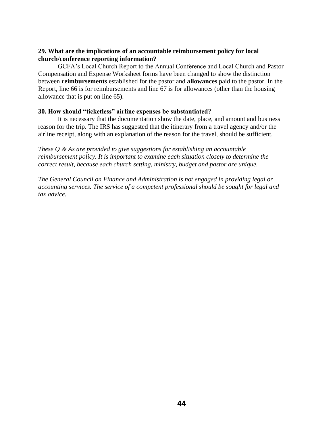### **29. What are the implications of an accountable reimbursement policy for local church/conference reporting information?**

GCFA's Local Church Report to the Annual Conference and Local Church and Pastor Compensation and Expense Worksheet forms have been changed to show the distinction between **reimbursements** established for the pastor and **allowances** paid to the pastor. In the Report, line 66 is for reimbursements and line 67 is for allowances (other than the housing allowance that is put on line 65).

### **30. How should "ticketless" airline expenses be substantiated?**

It is necessary that the documentation show the date, place, and amount and business reason for the trip. The IRS has suggested that the itinerary from a travel agency and/or the airline receipt, along with an explanation of the reason for the travel, should be sufficient.

*These Q & As are provided to give suggestions for establishing an accountable reimbursement policy. It is important to examine each situation closely to determine the correct result, because each church setting, ministry, budget and pastor are unique.*

*The General Council on Finance and Administration is not engaged in providing legal or accounting services. The service of a competent professional should be sought for legal and tax advice.*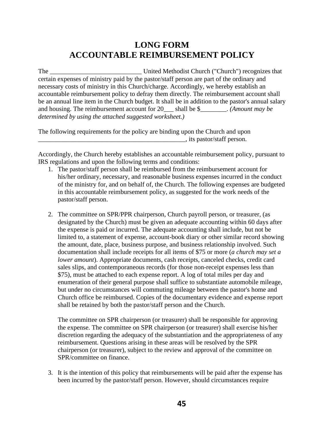# **LONG FORM ACCOUNTABLE REIMBURSEMENT POLICY**

The \_\_\_\_\_\_\_\_\_\_\_\_\_\_\_\_\_\_\_\_\_\_\_\_\_\_\_\_ United Methodist Church ("Church") recognizes that certain expenses of ministry paid by the pastor/staff person are part of the ordinary and necessary costs of ministry in this Church/charge. Accordingly, we hereby establish an accountable reimbursement policy to defray them directly. The reimbursement account shall be an annual line item in the Church budget. It shall be in addition to the pastor's annual salary and housing. The reimbursement account for 20\_\_\_ shall be \$\_\_\_\_\_\_\_\_. *(Amount may be determined by using the attached suggested worksheet.)*

The following requirements for the policy are binding upon the Church and upon  $\frac{1}{\sqrt{1-\frac{1}{2}}\sqrt{1-\frac{1}{2}}\sqrt{1-\frac{1}{2}}\sqrt{1-\frac{1}{2}}}}$ , its pastor/staff person.

Accordingly, the Church hereby establishes an accountable reimbursement policy, pursuant to IRS regulations and upon the following terms and conditions:

- 1. The pastor/staff person shall be reimbursed from the reimbursement account for his/her ordinary, necessary, and reasonable business expenses incurred in the conduct of the ministry for, and on behalf of, the Church. The following expenses are budgeted in this accountable reimbursement policy, as suggested for the work needs of the pastor/staff person.
- 2. The committee on SPR/PPR chairperson, Church payroll person, or treasurer, (as designated by the Church) must be given an adequate accounting within 60 days after the expense is paid or incurred. The adequate accounting shall include, but not be limited to, a statement of expense, account-book diary or other similar record showing the amount, date, place, business purpose, and business relationship involved. Such documentation shall include receipts for all items of \$75 or more (*a church may set a lower amount*). Appropriate documents, cash receipts, canceled checks, credit card sales slips, and contemporaneous records (for those non-receipt expenses less than \$75), must be attached to each expense report. A log of total miles per day and enumeration of their general purpose shall suffice to substantiate automobile mileage, but under no circumstances will commuting mileage between the pastor's home and Church office be reimbursed. Copies of the documentary evidence and expense report shall be retained by both the pastor/staff person and the Church.

The committee on SPR chairperson (or treasurer) shall be responsible for approving the expense. The committee on SPR chairperson (or treasurer) shall exercise his/her discretion regarding the adequacy of the substantiation and the appropriateness of any reimbursement. Questions arising in these areas will be resolved by the SPR chairperson (or treasurer), subject to the review and approval of the committee on SPR/committee on finance.

3. It is the intention of this policy that reimbursements will be paid after the expense has been incurred by the pastor/staff person. However, should circumstances require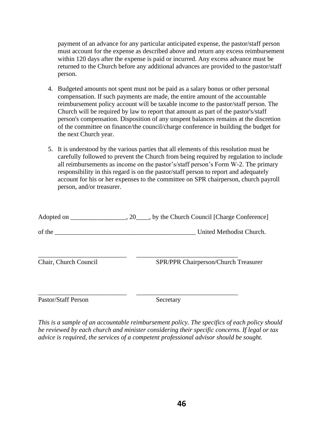payment of an advance for any particular anticipated expense, the pastor/staff person must account for the expense as described above and return any excess reimbursement within 120 days after the expense is paid or incurred. Any excess advance must be returned to the Church before any additional advances are provided to the pastor/staff person.

- 4. Budgeted amounts not spent must not be paid as a salary bonus or other personal compensation. If such payments are made, the entire amount of the accountable reimbursement policy account will be taxable income to the pastor/staff person. The Church will be required by law to report that amount as part of the pastor's/staff person's compensation. Disposition of any unspent balances remains at the discretion of the committee on finance/the council/charge conference in building the budget for the next Church year.
- 5. It is understood by the various parties that all elements of this resolution must be carefully followed to prevent the Church from being required by regulation to include all reimbursements as income on the pastor's/staff person's Form W-2. The primary responsibility in this regard is on the pastor/staff person to report and adequately account for his or her expenses to the committee on SPR chairperson, church payroll person, and/or treasurer.

| of the                | United Methodist Church.             |  |  |
|-----------------------|--------------------------------------|--|--|
| Chair, Church Council | SPR/PPR Chairperson/Church Treasurer |  |  |

\_\_\_\_\_\_\_\_\_\_\_\_\_\_\_\_\_\_\_\_\_\_\_\_\_\_\_ \_\_\_\_\_\_\_\_\_\_\_\_\_\_\_\_\_\_\_\_\_\_\_\_\_\_\_\_\_\_\_

Pastor/Staff Person Secretary

*This is a sample of an accountable reimbursement policy. The specifics of each policy should be reviewed by each church and minister considering their specific concerns. If legal or tax advice is required, the services of a competent professional advisor should be sought.*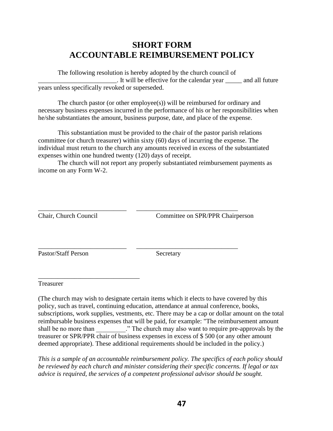# **SHORT FORM ACCOUNTABLE REIMBURSEMENT POLICY**

The following resolution is hereby adopted by the church council of \_\_\_\_\_\_\_\_\_\_\_\_\_\_\_\_\_\_\_\_\_\_\_\_. It will be effective for the calendar year \_\_\_\_\_ and all future years unless specifically revoked or superseded.

The church pastor (or other employee(s)) will be reimbursed for ordinary and necessary business expenses incurred in the performance of his or her responsibilities when he/she substantiates the amount, business purpose, date, and place of the expense.

This substantiation must be provided to the chair of the pastor parish relations committee (or church treasurer) within sixty (60) days of incurring the expense. The individual must return to the church any amounts received in excess of the substantiated expenses within one hundred twenty (120) days of receipt.

The church will not report any properly substantiated reimbursement payments as income on any Form W-2.

| Chair, Church Council | Committee on SPR/PPR Chairperson |  |  |
|-----------------------|----------------------------------|--|--|
|                       |                                  |  |  |
|                       |                                  |  |  |
|                       |                                  |  |  |
| Pastor/Staff Person   | Secretary                        |  |  |

\_\_\_\_\_\_\_\_\_\_\_\_\_\_\_\_\_\_\_\_\_\_\_\_\_\_\_ \_\_\_\_\_\_\_\_\_\_\_\_\_\_\_\_\_\_\_\_\_\_\_\_\_\_\_\_\_\_\_

Treasurer

\_\_\_\_\_\_\_\_\_\_\_\_\_\_\_\_\_\_\_\_\_\_\_\_\_\_\_\_\_\_\_

(The church may wish to designate certain items which it elects to have covered by this policy, such as travel, continuing education, attendance at annual conference, books, subscriptions, work supplies, vestments, etc. There may be a cap or dollar amount on the total reimbursable business expenses that will be paid, for example: "The reimbursement amount shall be no more than  $\cdots$  The church may also want to require pre-approvals by the treasurer or SPR/PPR chair of business expenses in excess of \$ 500 (or any other amount deemed appropriate). These additional requirements should be included in the policy.)

*This is a sample of an accountable reimbursement policy. The specifics of each policy should be reviewed by each church and minister considering their specific concerns. If legal or tax advice is required, the services of a competent professional advisor should be sought.*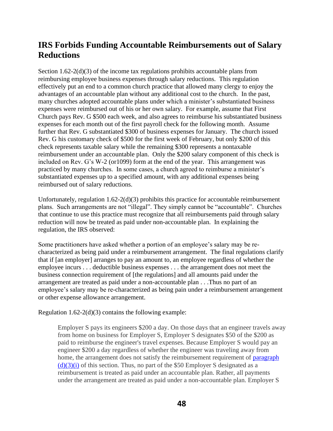# **IRS Forbids Funding Accountable Reimbursements out of Salary Reductions**

Section 1.62-2(d)(3) of the income tax regulations prohibits accountable plans from reimbursing employee business expenses through salary reductions.This regulation effectively put an end to a common church practice that allowed many clergy to enjoy the advantages of an accountable plan without any additional cost to the church. In the past, many churches adopted accountable plans under which a minister's substantiated business expenses were reimbursed out of his or her own salary. For example, assume that First Church pays Rev. G \$500 each week, and also agrees to reimburse his substantiated business expenses for each month out of the first payroll check for the following month. Assume further that Rev. G substantiated \$300 of business expenses for January. The church issued Rev. G his customary check of \$500 for the first week of February, but only \$200 of this check represents taxable salary while the remaining \$300 represents a nontaxable reimbursement under an accountable plan. Only the \$200 salary component of this check is included on Rev. G's W-2 (or1099) form at the end of the year. This arrangement was practiced by many churches. In some cases, a church agreed to reimburse a minister's substantiated expenses up to a specified amount, with any additional expenses being reimbursed out of salary reductions.

Unfortunately, regulation  $1.62-2(d)(3)$  prohibits this practice for accountable reimbursement plans. Such arrangements are not "illegal". They simply cannot be "accountable". Churches that continue to use this practice must recognize that all reimbursements paid through salary reduction will now be treated as paid under non-accountable plan. In explaining the regulation, the IRS observed:

Some practitioners have asked whether a portion of an employee's salary may be recharacterized as being paid under a reimbursement arrangement. The final regulations clarify that if [an employer] arranges to pay an amount to, an employee regardless of whether the employee incurs . . . deductible business expenses . . . the arrangement does not meet the business connection requirement of [the regulations] and all amounts paid under the arrangement are treated as paid under a non-accountable plan . . .Thus no part of an employee's salary may be re-characterized as being pain under a reimbursement arrangement or other expense allowance arrangement.

Regulation 1.62-2(d)(3) contains the following example:

Employer S pays its engineers \$200 a day. On those days that an engineer travels away from home on business for Employer S, Employer S designates \$50 of the \$200 as paid to reimburse the engineer's travel expenses. Because Employer S would pay an engineer \$200 a day regardless of whether the engineer was traveling away from home, the arrangement does not satisfy the reimbursement requirement of paragraph  $(d)(3)(i)$  of this section. Thus, no part of the \$50 Employer S designated as a reimbursement is treated as paid under an accountable plan. Rather, all payments under the arrangement are treated as paid under a non-accountable plan. Employer S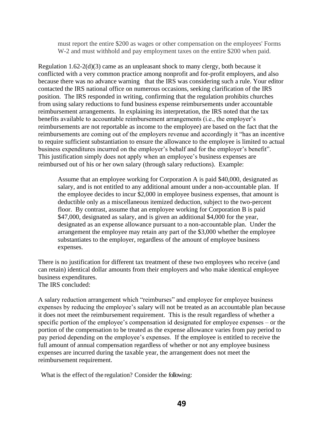must report the entire \$200 as wages or other compensation on the employees' Forms W-2 and must withhold and pay employment taxes on the entire \$200 when paid.

Regulation  $1.62-2(d)(3)$  came as an unpleasant shock to many clergy, both because it conflicted with a very common practice among nonprofit and for-profit employers, and also because there was no advance warning that the IRS was considering such a rule. Your editor contacted the IRS national office on numerous occasions, seeking clarification of the IRS position. The IRS responded in writing, confirming that the regulation prohibits churches from using salary reductions to fund business expense reimbursements under accountable reimbursement arrangements. In explaining its interpretation, the IRS noted that the tax benefits available to accountable reimbursement arrangements (i.e., the employer's reimbursements are not reportable as income to the employee) are based on the fact that the reimbursements are coming out of the employers revenue and accordingly it "has an incentive to require sufficient substantiation to ensure the allowance to the employee is limited to actual business expenditures incurred on the employer's behalf and for the employer's benefit". This justification simply does not apply when an employee's business expenses are reimbursed out of his or her own salary (through salary reductions). Example:

Assume that an employee working for Corporation A is paid \$40,000, designated as salary, and is not entitled to any additional amount under a non-accountable plan. If the employee decides to incur \$2,000 in employee business expenses, that amount is deductible only as a miscellaneous itemized deduction, subject to the two-percent floor. By contrast, assume that an employee working for Corporation B is paid \$47,000, designated as salary, and is given an additional \$4,000 for the year, designated as an expense allowance pursuant to a non-accountable plan. Under the arrangement the employee may retain any part of the \$3,000 whether the employee substantiates to the employer, regardless of the amount of employee business expenses.

There is no justification for different tax treatment of these two employees who receive (and can retain) identical dollar amounts from their employers and who make identical employee business expenditures. The IRS concluded:

A salary reduction arrangement which "reimburses" and employee for employee business expenses by reducing the employee's salary will not be treated as an accountable plan because it does not meet the reimbursement requirement. This is the result regardless of whether a specific portion of the employee's compensation id designated for employee expenses – or the portion of the compensation to be treated as the expense allowance varies from pay period to pay period depending on the employee's expenses. If the employee is entitled to receive the full amount of annual compensation regardless of whether or not any employee business expenses are incurred during the taxable year, the arrangement does not meet the reimbursement requirement.

What is the effect of the regulation? Consider the following: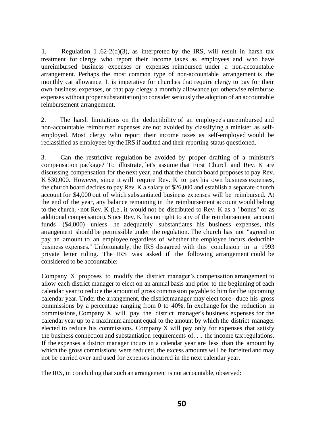1. Regulation 1 .62-2(d)(3), as interpreted by the IRS, will result in harsh tax treatment for clergy who report their income taxes as employees and who have unreimbursed business expenses or expenses reimbursed under a non-accountable arrangement. Perhaps the most common type of non-accountable arrangement is the monthly car allowance. It is imperative for churches that require clergy to pay for their own business expenses, or that pay clergy a monthly allowance (or otherwise reimburse expenses without proper substantiation) to consider seriously the adoption of an accountable reimbursement arrangement.

2. The harsh limitations on the deductibility of an employee's unreimbursed and non-accountable reimbursed expenses are not avoided by classifying a minister as selfemployed. Most clergy who report their income taxes as self-employed would be reclassified as employees by the IRS if audited and their reporting status questioned.

3. Can the restrictive regulation be avoided by proper drafting of a minister's compensation package? To illustrate, let's assume that First Church and Rev. K are discussing compensation for the next year, and that the church board proposesto pay Rev. K \$30,000. However, since it will require Rev. K to pay his own business expenses, the church board decides to pay Rev. K a salary of \$26,000 and establish a separate church account for \$4,000 out of which substantiated business expenses will be reimbursed. At the end of the year, any balance remaining in the reimbursement account would belong to the church, ·not Rev. K (i.e., it would not be distributed to Rev. K as a "bonus" or as additional compensation). Since Rev. K has no right to any of the reimbursement account funds (\$4,000) unless he adequately substantiates his business expenses, this arrangement should be permissible under the regulation. The church has not "agreed to pay an amount to an employee regardless of whether the employee incurs deductible business expenses." Unfortunately, the IRS disagreed with this conclusion in a 1993 private letter ruling. The IRS was asked if the following arrangement could be considered to be accountable:

Company X proposes to modify the district manager's compensation arrangement to allow each district manager to elect on an annual basis and prior to the beginning of each calendar year to reduce the amount of gross commission payable to him forthe upcoming calendar year. Under the arrangement, the district manager may elect tore- duce his gross commissions by a percentage ranging from 0 to 40%. In exchange for the reduction in commissions, Company X will pay the district manager's business expenses for the calendar year up to a maximum amount equal to the amount by which the district manager elected to reduce his commissions. Company X will pay only for expenses that satisfy the business connection and substantiation requirements of. . . the income tax regulations. If the expenses a district manager incurs in a calendar year are less than the amount by which the gross commissions were reduced, the excess amounts will be forfeited and may not be carried over and used for expenses incurred in the next calendar year.

The IRS, in concluding that such an arrangement is not accountable, observed: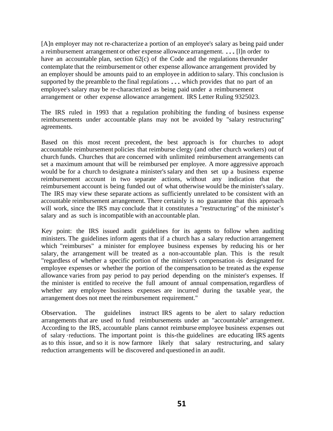[A]n employer may not re-characterize a portion of an employee's salary as being paid under <sup>a</sup> reimbursement arrangement or other expense allowance arrangement. ...[l]n order to have an accountable plan, section  $62(c)$  of the Code and the regulations thereunder contemplate that the reimbursement or other expense allowance arrangement provided by an employer should be amounts paid to an employee in addition to salary. This conclusion is supported by the preamble to the final regulations ... which provides that no part of an employee's salary may be re-characterized as being paid under a reimbursement arrangement or other expense allowance arrangement. IRS Letter Ruling 9325023.

The IRS ruled in 1993 that a regulation prohibiting the funding of business expense reimbursements under accountable plans may not be avoided by "salary restructuring" agreements.

Based on this most recent precedent, the best approach is for churches to adopt accountable reimbursement policies that reimburse clergy (and other church workers) out of church funds. Churches that are concerned with unlimited reimbursement arrangements can set a maximum amount that will be reimbursed per employee. A more aggressive approach would be for a church to designate a minister's salary and then set up a business expense reimbursement account in two separate actions, without any indication that the reimbursement account is being funded out of what otherwise would be the minister'ssalary. The IRS may view these separate actions as sufficiently unrelated to be consistent with an accountable reimbursement arrangement. There certainly is no guarantee that this approach will work, since the IRS may conclude that it constitutes a "restructuring" of the minister's salary and as such is incompatible with an accountable plan.

Key point: the IRS issued audit guidelines for its agents to follow when auditing ministers. The guidelines inform agents that if a church has a salary reduction arrangement which "reimburses" a minister for employee business expenses by reducing his or her salary, the arrangement will be treated as a non-accountable plan. This is the result "regardless of whether a specific portion of the minister's compensation -is designated for employee expenses or whether the portion of the compensation to be treated as the expense allowance varies from pay period to pay period depending on the minister's expenses. If the minister is entitled to receive the full amount of annual compensation, regardless of whether any employee business expenses are incurred during the taxable year, the arrangement does not meet the reimbursement requirement."

Observation. The guidelines instruct IRS agents to be alert to salary reduction arrangements that are used to fund reimbursements under an "accountable" arrangement. According to the IRS, accountable plans cannot reimburse employee business expenses out of salary ·reductions. The important point is this-the guidelines are educating IRS agents as to this issue, and so it is now farmore likely that salary restructuring, and salary reduction arrangements will be discovered and questioned in an audit.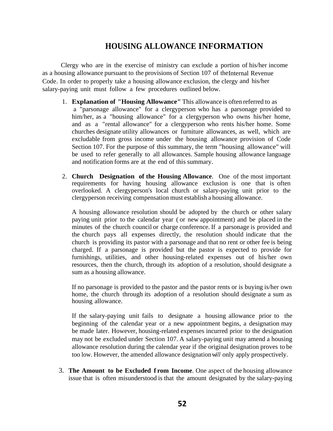# **HOUSING ALLOWANCE INFORMATION**

. Clergy who are in the exercise of ministry can exclude a portion of his/her income as a housing allowance pursuant to the provisions of Section 107 of theInternal Revenue Code. In order to properly take a housing allowance exclusion, the clergy and his/her salary-paying unit must follow a few procedures outlined below.

- 1. **Explanation of "Housing Allowance"** This allowance is often referred to as a "parsonage allowance" for a clergyperson who has a parsonage provided to him/her, as a "housing allowance" for a clergyperson who owns his/her home, and as a "rental allowance" for a clergyperson who rents his/her home. Some churches designate utility allowances or furniture allowances, as well, which are excludable from gross income under the housing allowance provision of Code Section 107. For the purpose of this summary, the term "housing allowance" will be used to refer generally to all allowances. Sample housing allowance language and notification forms are at the end of this summary.
- 2. **Church Designation of the Housing Allowance**. One of the most important requirements for having housing allowance exclusion is one that is often overlooked. A clergyperson's local church or salary-paying unit prior to the clergyperson receiving compensation must establish a housing allowance.

A housing allowance resolution should be adopted by the church or other salary paying unit prior to the calendar year ( or new appointment) and be placed in the minutes of the church council or charge conference. If a parsonage is provided and the church pays all expenses directly, the resolution should indicate that the church is providing its pastor with a parsonage and that no rent or other fee is being charged. If a parsonage is provided but the pastor is expected to provide for furnishings, utilities, and other housing-related expenses out of his/her own resources, then the church, through its adoption of a resolution, should designate a sum as a housing allowance.

If no parsonage is provided to the pastor and the pastor rents or is buying is/her own home, the church through its adoption of a resolution should designate a sum as housing allowance.

If the salary-paying unit fails to designate a housing allowance prior to the beginning of the calendar year or a new appointment begins, a designation may be made later. However, housing-related expenses incurred prior to the designation may not be excluded under Section 107. A salary-paying unit may amend a housing allowance resolution during the calendar year if the original designation proves to be too low. However, the amended allowance designationw*ill* only apply prospectively.

3. **The Amount to be Excluded f rom Income**. One aspect of the housing allowance issue that is often misunderstood is that the amount designated by the salary-paying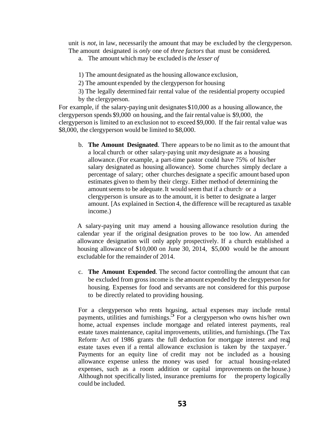unit is *not,* in law, necessarily the amount that may be excluded by the clergyperson. The amount designated is *only* one of *three factors* that must be considered.

a. The amount whichmay be excluded is *the lesser of*

1) The amount designated as the housing allowance exclusion,

2) The amount expended by the clergyperson for housing

3) The legally determined fair rental value of the residential property occupied by the clergyperson.

For example, if the salary-paying unit designates \$10,000 as a housing allowance, the clergyperson spends \$9,000 on housing, and the fair rental value is \$9,000, the clergyperson is limited to an exclusion not to exceed \$9,000. If the fair rental value was \$8,000, the clergyperson would be limited to \$8,000.

b. **The Amount Designated**. There appears to be no limit as to the amount that a local church or other salary-paying unit *may* designate as a housing allowance.(For example, a part-time pastor could have 75% of his/her salary designated as housing allowance). Some churches simply declare a percentage of salary; other churches designate a specific amount based upon estimates given to them by their clergy. Either method of determining the amount seems to be adequate. It would seem that if a church or a clergyperson is unsure as to the amount, it is better to designate a larger amount. [As explained in Section 4, the difference will be recaptured as taxable income.)

A salary-paying unit may amend a housing allowance resolution during the calendar year if the original designation proves to be too low. An amended allowance designation will only apply prospectively. If a church established a housing allowance of \$10,000 on June 30, 2014, \$5,000 would be the amount excludable for the remainder of 2014.

c. **The Amount Expended**. The second factor controlling the amount that can be excluded from grossincome is the amount expended by the clergyperson for housing. Expenses for food and servants are not considered for this purpose to be directly related to providing housing.

For a clergyperson who rents housing, actual expenses may include rental For a clergyperson who relits housing, actual expenses may include relitantly payments, utilities and furnishings.  $5$  For a clergyperson who owns his/her own home, actual expenses include mortgage and related interest payments, real estate taxes maintenance, capital improvements, utilities, and furnishings. (The Tax Reform· Act of 1986 grants the full deduction for mortgage interest and real estate taxes even if a rental allowance exclusion is taken by the taxpayer.<sup>7</sup> Payments for an equity line of credit may not be included as a housing allowance expense unless the money was used for actual housing-related expenses, such as a room addition or capital improvements on the house.) Although not specifically listed, insurance premiums for the property logically could be included.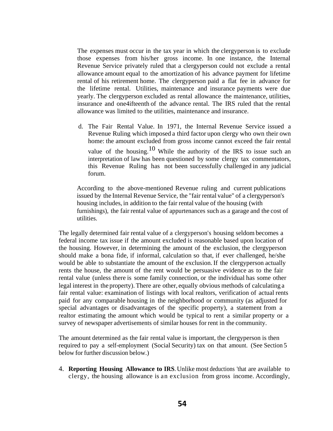The expenses must occur in the tax year in which the clergyperson is to exclude those expenses from his/her gross income. In one instance, the Internal Revenue Service privately ruled that a clergyperson could not exclude a rental allowance amount equal to the amortization of his advance payment for lifetime rental of his retirement home. The clergyperson paid a flat fee in advance for the lifetime rental. Utilities, maintenance and insurance payments were due yearly. The clergyperson excluded as rental allowance the maintenance, utilities, insurance and one4ifteenth of the advance rental. The IRS ruled that the rental allowance was limited to the utilities, maintenance and insurance.

d. The Fair Rental Value. In 1971, the Internal Revenue Service issued a Revenue Ruling which imposed a third factor upon clergy who own their own home: the amount excluded from gross income cannot exceed the fair rental value of the housing.<sup>10</sup> While the authority of the IRS to issue such an interpretation of law has been questioned by some clergy tax commentators, this Revenue Ruling has not been successfully challenged in any judicial forum.

According to the above-mentioned Revenue ruling and current publications issued by the Internal Revenue Service, the "fair rental value" of a clergyperson's housing includes, in addition to the fair rental value of the housing (with furnishings), the fair rental value of appurtenances such as a garage and the cost of utilities.

The legally determined fair rental value of a clergyperson's housing seldom becomes a federal income tax issue if the amount excluded is reasonable based upon location of the housing. However, in determining the amount of the exclusion, the clergyperson should make a bona fide, if informal, calculation so that, if ever challenged, he/she would be able to substantiate the amount of the exclusion.If the clergyperson actually rents the house, the amount of the rent would be persuasive evidence as to the fair rental value (unless there is some family connection, or the individual has some other legal interest in the property). There are other, equally obvious methods of calculating a fair rental value: examination of listings with local realtors, verification of actual rents paid for any comparable housing in the neighborhood or community (as adjusted for special advantages or disadvantages of the specific property), a statement from a realtor estimating the amount which would be typical to rent a similar property or a survey of newspaper advertisements of similar houses for rent in the community.

The amount determined as the fair rental value is important, the clergyperson is then required to pay a self-employment (Social Security) tax on that amount. (See Section 5 below for further discussion below.)

4. **Reporting Housing Allowance to IRS**.Unlike most deductions 'that are available to clergy, the housing allowance is an exclusion from gross income. Accordingly,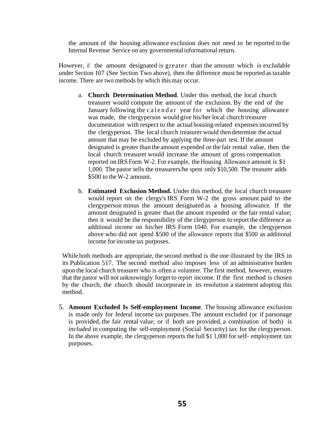the amount of the housing allowance exclusion does not need to be reported to the Internal Revenue Service on any governmental informational return.

However, if the amount designated is greater than the amount which is excludable under Section 107 (See Section Two above), then the difference must be reported astaxable income. There are two methods by which this may occur.

- a. **Church Determination Method**. Under this method, the local church treasurer would compute the amount of the exclusion. By the end of the January following the calendar year for which the housing allowance was made, the clergyperson would give his/her local church treasurer documentation with respect to the actual housing-related expensesincurred by the clergyperson. The local church treasurer would then determine the actual amount that may be excluded by applying the three-part test. If the amount designated is greater than the amount expended or the fair rental value, then the local church treasurer would increase the amount of gross compensation reported on IRS Form W-2. For example, the Housing Allowance amount is \$1 1,000. The pastor tells the treasurers/he spent only \$10,500. The treasurer adds \$500 to the W-2 amount.
- b. **Estimated Exclusion Method.** Under this method, the local church treasurer would report on the clergy's IRS Form W-2 the gross amount paid to the clergyperson minus the amount designated as a housing allowance. If the amount designated is greater than the amount expended or the fair rental value; then it would be the responsibility of the clergyperson to report the difference as additional income on his/her IRS Form 1040. For example, the clergyperson above who did not spend \$500 of the allowance reports that \$500 as additional income forincome tax purposes.

While both methods are appropriate, the second method is the one illustrated by the IRS in its Publication 517. The second method also imposes less of an administrative burden upon the local church treasurer who is often a volunteer. The first method, however, ensures that the pastor will not unknowingly forget to report income. If the first method is chosen by the church, the church should incorporate in its resolution a statement adopting this method.

5. **Amount Excluded Is Self-employment Income**. The housing allowance exclusion is made only for federal income tax purposes. The amount excluded (or if parsonage is provided, the fair rental value; or if both are provided, a combination of both) is *included* in computing the self-employment (Social Security) tax for the clergyperson. In the above example, the clergyperson reports the full  $$1 1,000$  for self- employment tax purposes.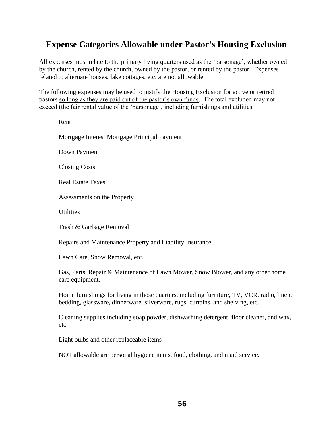# **Expense Categories Allowable under Pastor's Housing Exclusion**

All expenses must relate to the primary living quarters used as the 'parsonage', whether owned by the church, rented by the church, owned by the pastor, or rented by the pastor. Expenses related to alternate houses, lake cottages, etc. are not allowable.

The following expenses may be used to justify the Housing Exclusion for active or retired pastors so long as they are paid out of the pastor's own funds. The total excluded may not exceed (the fair rental value of the 'parsonage', including furnishings and utilities.

Rent Mortgage Interest Mortgage Principal Payment Down Payment Closing Costs Real Estate Taxes Assessments on the Property **Utilities** Trash & Garbage Removal Repairs and Maintenance Property and Liability Insurance Lawn Care, Snow Removal, etc. Gas, Parts, Repair & Maintenance of Lawn Mower, Snow Blower, and any other home care equipment. Home furnishings for living in those quarters, including furniture, TV, VCR, radio, linen, bedding, glassware, dinnerware, silverware, rugs, curtains, and shelving, etc. Cleaning supplies including soap powder, dishwashing detergent, floor cleaner, and wax, etc. Light bulbs and other replaceable items

NOT allowable are personal hygiene items, food, clothing, and maid service.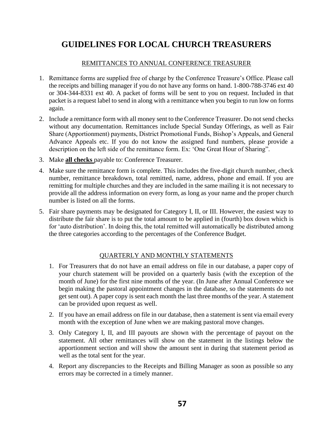# **GUIDELINES FOR LOCAL CHURCH TREASURERS**

# REMITTANCES TO ANNUAL CONFERENCE TREASURER

- 1. Remittance forms are supplied free of charge by the Conference Treasure's Office. Please call the receipts and billing manager if you do not have any forms on hand. 1-800-788-3746 ext 40 or 304-344-8331 ext 40. A packet of forms will be sent to you on request. Included in that packet is a request label to send in along with a remittance when you begin to run low on forms again.
- 2. Include a remittance form with all money sent to the Conference Treasurer. Do not send checks without any documentation. Remittances include Special Sunday Offerings, as well as Fair Share (Apportionment) payments, District Promotional Funds, Bishop's Appeals, and General Advance Appeals etc. If you do not know the assigned fund numbers, please provide a description on the left side of the remittance form. Ex: 'One Great Hour of Sharing".
- 3. Make **all checks** payable to: Conference Treasurer.
- 4. Make sure the remittance form is complete. This includes the five-digit church number, check number, remittance breakdown, total remitted, name, address, phone and email. If you are remitting for multiple churches and they are included in the same mailing it is not necessary to provide all the address information on every form, as long as your name and the proper church number is listed on all the forms.
- 5. Fair share payments may be designated for Category I, II, or III. However, the easiest way to distribute the fair share is to put the total amount to be applied in (fourth) box down which is for 'auto distribution'. In doing this, the total remitted will automatically be distributed among the three categories according to the percentages of the Conference Budget.

# QUARTERLY AND MONTHLY STATEMENTS

- 1. For Treasurers that do not have an email address on file in our database, a paper copy of your church statement will be provided on a quarterly basis (with the exception of the month of June) for the first nine months of the year. (In June after Annual Conference we begin making the pastoral appointment changes in the database, so the statements do not get sent out). A paper copy is sent each month the last three months of the year. A statement can be provided upon request as well.
- 2. If you have an email address on file in our database, then a statement is sent via email every month with the exception of June when we are making pastoral move changes.
- 3. Only Category I, II, and III payouts are shown with the percentage of payout on the statement. All other remittances will show on the statement in the listings below the apportionment section and will show the amount sent in during that statement period as well as the total sent for the year.
- 4. Report any discrepancies to the Receipts and Billing Manager as soon as possible so any errors may be corrected in a timely manner.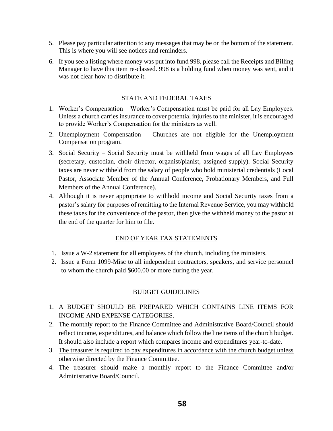- 5. Please pay particular attention to any messages that may be on the bottom of the statement. This is where you will see notices and reminders.
- 6. If you see a listing where money was put into fund 998, please call the Receipts and Billing Manager to have this item re-classed. 998 is a holding fund when money was sent, and it was not clear how to distribute it.

### STATE AND FEDERAL TAXES

- 1. Worker's Compensation Worker's Compensation must be paid for all Lay Employees. Unless a church carries insurance to cover potential injuries to the minister, it is encouraged to provide Worker's Compensation for the ministers as well.
- 2. Unemployment Compensation Churches are not eligible for the Unemployment Compensation program.
- 3. Social Security Social Security must be withheld from wages of all Lay Employees (secretary, custodian, choir director, organist/pianist, assigned supply). Social Security taxes are never withheld from the salary of people who hold ministerial credentials (Local Pastor, Associate Member of the Annual Conference, Probationary Members, and Full Members of the Annual Conference).
- 4. Although it is never appropriate to withhold income and Social Security taxes from a pastor's salary for purposes of remitting to the Internal Revenue Service, you may withhold these taxes for the convenience of the pastor, then give the withheld money to the pastor at the end of the quarter for him to file.

### END OF YEAR TAX STATEMENTS

- 1. Issue a W-2 statement for all employees of the church, including the ministers.
- 2. Issue a Form 1099-Misc to all independent contractors, speakers, and service personnel to whom the church paid \$600.00 or more during the year.

# BUDGET GUIDELINES

- 1. A BUDGET SHOULD BE PREPARED WHICH CONTAINS LINE ITEMS FOR INCOME AND EXPENSE CATEGORIES.
- 2. The monthly report to the Finance Committee and Administrative Board/Council should reflect income, expenditures, and balance which follow the line items of the church budget. It should also include a report which compares income and expenditures year-to-date.
- 3. The treasurer is required to pay expenditures in accordance with the church budget unless otherwise directed by the Finance Committee.
- 4. The treasurer should make a monthly report to the Finance Committee and/or Administrative Board/Council.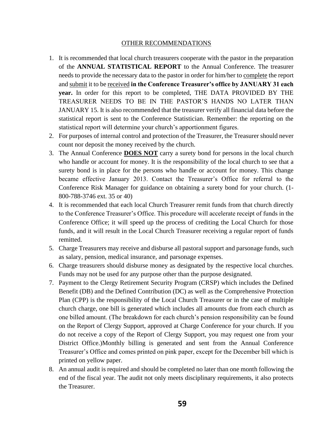#### OTHER RECOMMENDATIONS

- 1. It is recommended that local church treasurers cooperate with the pastor in the preparation of the **ANNUAL STATISTICAL REPORT** to the Annual Conference. The treasurer needs to provide the necessary data to the pastor in order for him/her to complete the report and submit it to be received **in the Conference Treasurer's office by JANUARY 31 each year.** In order for this report to be completed, THE DATA PROVIDED BY THE TREASURER NEEDS TO BE IN THE PASTOR'S HANDS NO LATER THAN JANUARY 15. It is also recommended that the treasurer verify all financial data before the statistical report is sent to the Conference Statistician. Remember: the reporting on the statistical report will determine your church's apportionment figures.
- 2. For purposes of internal control and protection of the Treasurer, the Treasurer should never count nor deposit the money received by the church.
- 3. The Annual Conference **DOES NOT** carry a surety bond for persons in the local church who handle or account for money. It is the responsibility of the local church to see that a surety bond is in place for the persons who handle or account for money. This change became effective January 2013. Contact the Treasurer's Office for referral to the Conference Risk Manager for guidance on obtaining a surety bond for your church. (1- 800-788-3746 ext. 35 or 40)
- 4. It is recommended that each local Church Treasurer remit funds from that church directly to the Conference Treasurer's Office. This procedure will accelerate receipt of funds in the Conference Office; it will speed up the process of crediting the Local Church for those funds, and it will result in the Local Church Treasurer receiving a regular report of funds remitted.
- 5. Charge Treasurers may receive and disburse all pastoral support and parsonage funds, such as salary, pension, medical insurance, and parsonage expenses.
- 6. Charge treasurers should disburse money as designated by the respective local churches. Funds may not be used for any purpose other than the purpose designated.
- 7. Payment to the Clergy Retirement Security Program (CRSP) which includes the Defined Benefit (DB) and the Defined Contribution (DC) as well as the Comprehensive Protection Plan (CPP) is the responsibility of the Local Church Treasurer or in the case of multiple church charge, one bill is generated which includes all amounts due from each church as one billed amount. (The breakdown for each church's pension responsibility can be found on the Report of Clergy Support, approved at Charge Conference for your church. If you do not receive a copy of the Report of Clergy Support, you may request one from your District Office.)Monthly billing is generated and sent from the Annual Conference Treasurer's Office and comes printed on pink paper, except for the December bill which is printed on yellow paper.
- 8. An annual audit is required and should be completed no later than one month following the end of the fiscal year. The audit not only meets disciplinary requirements, it also protects the Treasurer.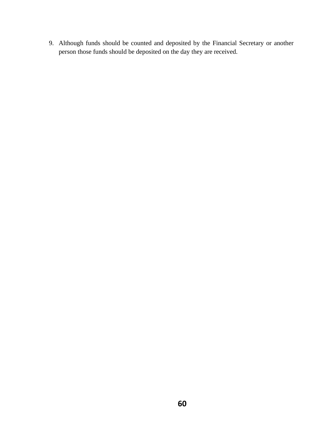9. Although funds should be counted and deposited by the Financial Secretary or another person those funds should be deposited on the day they are received.